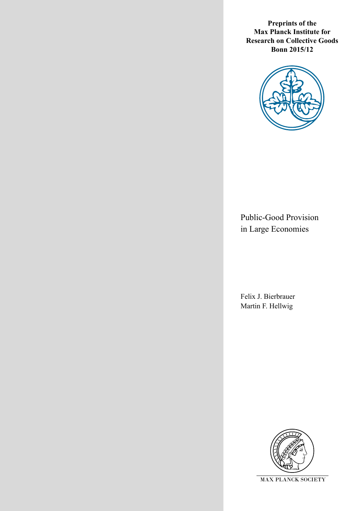**Preprints of the Max Planck Institute for Research on Collective Goods Bonn 2015/12**



Public-Good Provision in Large Economies

Felix J. Bierbrauer Martin F. Hellwig

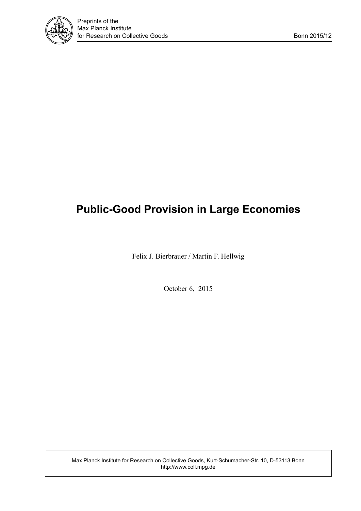

# **Public-Good Provision in Large Economies**

Felix J. Bierbrauer / Martin F. Hellwig

October 6, 2015

Max Planck Institute for Research on Collective Goods, Kurt-Schumacher-Str. 10, D-53113 Bonn http://www.coll.mpg.de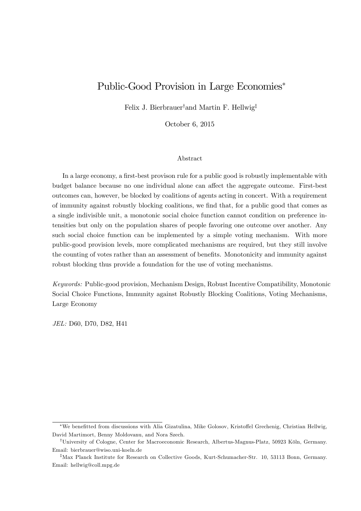## Public-Good Provision in Large Economies

Felix J. Bierbrauer<sup>†</sup>and Martin F. Hellwig<sup>‡</sup>

October 6, 2015

#### Abstract

In a large economy, a first-best provison rule for a public good is robustly implementable with budget balance because no one individual alone can affect the aggregate outcome. First-best outcomes can, however, be blocked by coalitions of agents acting in concert. With a requirement of immunity against robustly blocking coalitions, we Önd that, for a public good that comes as a single indivisible unit, a monotonic social choice function cannot condition on preference intensities but only on the population shares of people favoring one outcome over another. Any such social choice function can be implemented by a simple voting mechanism. With more public-good provision levels, more complicated mechanisms are required, but they still involve the counting of votes rather than an assessment of benefits. Monotonicity and immunity against robust blocking thus provide a foundation for the use of voting mechanisms.

Keywords: Public-good provision, Mechanism Design, Robust Incentive Compatibility, Monotonic Social Choice Functions, Immunity against Robustly Blocking Coalitions, Voting Mechanisms, Large Economy

JEL: D60, D70, D82, H41

We beneÖtted from discussions with Alia Gizatulina, Mike Golosov, Kristo§el Grechenig, Christian Hellwig, David Martimort, Benny Moldovanu, and Nora Szech.

<sup>&</sup>lt;sup>†</sup>University of Cologne, Center for Macroeconomic Research, Albertus-Magnus-Platz, 50923 Köln, Germany. Email: bierbrauer@wiso.uni-koeln.de

<sup>&</sup>lt;sup>‡</sup>Max Planck Institute for Research on Collective Goods, Kurt-Schumacher-Str. 10, 53113 Bonn, Germany. Email: hellwig@coll.mpg.de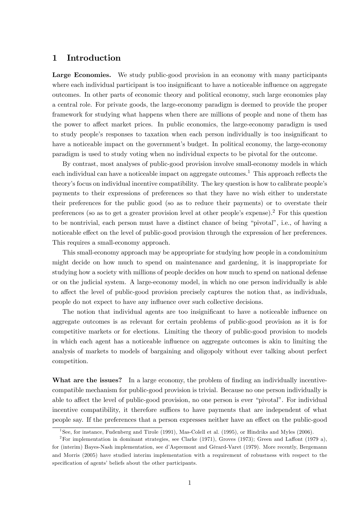### 1 Introduction

Large Economies. We study public-good provision in an economy with many participants where each individual participant is too insignificant to have a noticeable influence on aggregate outcomes. In other parts of economic theory and political economy, such large economies play a central role. For private goods, the large-economy paradigm is deemed to provide the proper framework for studying what happens when there are millions of people and none of them has the power to affect market prices. In public economics, the large-economy paradigm is used to study people's responses to taxation when each person individually is too insignificant to have a noticeable impact on the government's budget. In political economy, the large-economy paradigm is used to study voting when no individual expects to be pivotal for the outcome.

By contrast, most analyses of public-good provision involve small-economy models in which each individual can have a noticeable impact on aggregate outcomes.<sup>1</sup> This approach reflects the theory's focus on individual incentive compatibility. The key question is how to calibrate people's payments to their expressions of preferences so that they have no wish either to understate their preferences for the public good (so as to reduce their payments) or to overstate their preferences (so as to get a greater provision level at other people's expense).<sup>2</sup> For this question to be nontrivial, each person must have a distinct chance of being "pivotal", i.e., of having a noticeable effect on the level of public-good provision through the expression of her preferences. This requires a small-economy approach.

This small-economy approach may be appropriate for studying how people in a condominium might decide on how much to spend on maintenance and gardening, it is inappropriate for studying how a society with millions of people decides on how much to spend on national defense or on the judicial system. A large-economy model, in which no one person individually is able to affect the level of public-good provision precisely captures the notion that, as individuals, people do not expect to have any influence over such collective decisions.

The notion that individual agents are too insignificant to have a noticeable influence on aggregate outcomes is as relevant for certain problems of public-good provision as it is for competitive markets or for elections. Limiting the theory of public-good provision to models in which each agent has a noticeable influence on aggregate outcomes is akin to limiting the analysis of markets to models of bargaining and oligopoly without ever talking about perfect competition.

What are the issues? In a large economy, the problem of finding an individually incentivecompatible mechanism for public-good provision is trivial. Because no one person individually is able to affect the level of public-good provision, no one person is ever "pivotal". For individual incentive compatibility, it therefore suffices to have payments that are independent of what people say. If the preferences that a person expresses neither have an effect on the public-good

<sup>&</sup>lt;sup>1</sup>See, for instance, Fudenberg and Tirole (1991), Mas-Colell et al. (1995), or Hindriks and Myles (2006).

<sup>&</sup>lt;sup>2</sup>For implementation in dominant strategies, see Clarke (1971), Groves (1973); Green and Laffont (1979 a), for (interim) Bayes-Nash implementation, see d'Aspremont and Gérard-Varet (1979). More recently, Bergemann and Morris (2005) have studied interim implementation with a requirement of robustness with respect to the specification of agents' beliefs about the other participants.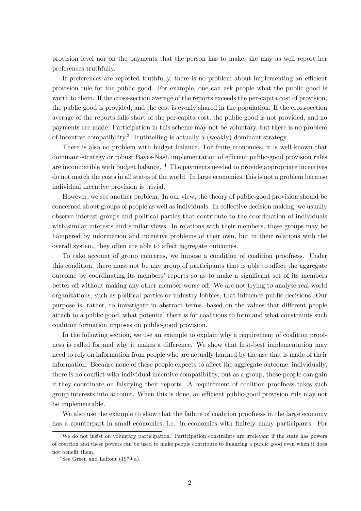provision level nor on the payments that the person has to make, she may as well report her preferences truthfully.

If preferences are reported truthfully, there is no problem about implementing an efficient provision rule for the public good. For example, one can ask people what the public good is worth to them. If the cross-section average of the reports exceeds the per-capita cost of provision, the public good is provided, and the cost is evenly shared in the population. If the cross-section average of the reports falls short of the per-capita cost, the public good is not provided, and no payments are made. Participation in this scheme may not be voluntary, but there is no problem of incentive compatibility.<sup>3</sup> Truthtelling is actually a (weakly) dominant strategy.

There is also no problem with budget balance. For finite economies, it is well known that dominant-strategy or robust Bayes-Nash implementation of efficient public-good provision rules are incompatible with budget balance.  $4$  The payments needed to provide appropriate incentives do not match the costs in all states of the world. In large economies, this is not a problem because individual incentive provision is trivial.

However, we see another problem. In our view, the theory of public-good provision should be concerned about groups of people as well as individuals. In collective decision making, we usually observe interest groups and political parties that contribute to the coordination of individuals with similar interests and similar views. In relations with their members, these groups may be hampered by information and incentive problems of their own, but in their relations with the overall system, they often are able to affect aggregate outcomes.

To take account of group concerns, we impose a condition of coalition proofness. Under this condition, there must not be any group of participants that is able to affect the aggregate outcome by coordinating its members' reports so as to make a significant set of its members better off without making any other member worse off. We are not trying to analyse real-world organizations, such as political parties or industry lobbies, that ináuence public decisions. Our purpose is, rather, to investigate in abstract terms, based on the values that different people attach to a public good, what potential there is for coalitions to form and what constraints such coalition formation imposes on public-good provision.

In the following section, we use an example to explain why a requirement of coalition proofness is called for and why it makes a difference. We show that first-best implementation may need to rely on information from people who are actually harmed by the use that is made of their information. Because none of these people expects to affect the aggregate outcome, individually, there is no conflict with individual incentive compatibility, but as a group, these people can gain if they coordinate on falsifying their reports. A requirement of coalition proofness takes such group interests into account. When this is done, an efficient public-good provision rule may not be implementable.

We also use the example to show that the failure of coalition proofness in the large economy has a counterpart in small economies, i.e. in economies with finitely many participants. For

<sup>3</sup>We do not insist on voluntary participation. Participation constraints are irrelevant if the state has powers of coercion and these powers can be used to make people contribute to Önancing a public good even when it does not benefit them.

 $4$ See Green and Laffont (1979 a).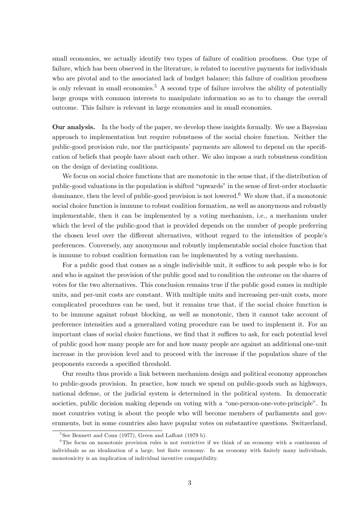small economies, we actually identify two types of failure of coalition proofness. One type of failure, which has been observed in the literature, is related to incentive payments for individuals who are pivotal and to the associated lack of budget balance; this failure of coalition proofness is only relevant in small economies.<sup>5</sup> A second type of failure involves the ability of potentially large groups with common interests to manipulate information so as to to change the overall outcome. This failure is relevant in large economies and in small economies.

Our analysis. In the body of the paper, we develop these insights formally. We use a Bayesian approach to implementation but require robustness of the social choice function. Neither the public-good provision rule, nor the participants' payments are allowed to depend on the specification of beliefs that people have about each other. We also impose a such robustness condition on the design of deviating coalitions.

We focus on social choice functions that are monotonic in the sense that, if the distribution of public-good valuations in the population is shifted "upwards" in the sense of first-order stochastic dominance, then the level of public-good provision is not lowered.<sup>6</sup> We show that, if a monotonic social choice function is immune to robust coalition formation, as well as anonymous and robustly implementable, then it can be implemented by a voting mechanism, i.e., a mechanism under which the level of the public-good that is provided depends on the number of people preferring the chosen level over the different alternatives, without regard to the intensities of people's preferences. Conversely, any anonymous and robustly implementable social choice function that is immune to robust coalition formation can be implemented by a voting mechanism.

For a public good that comes as a single indivisible unit, it suffices to ask people who is for and who is against the provision of the public good and to condition the outcome on the shares of votes for the two alternatives. This conclusion remains true if the public good comes in multiple units, and per-unit costs are constant. With multiple units and increasing per-unit costs, more complicated procedures can be used, but it remains true that, if the social choice function is to be immune against robust blocking, as well as monotonic, then it cannot take account of preference intensities and a generalized voting procedure can be used to implement it. For an important class of social choice functions, we find that it suffices to ask, for each potential level of public good how many people are for and how many people are against an additional one-unit increase in the provision level and to proceed with the increase if the population share of the proponents exceeds a specified threshold.

Our results thus provide a link between mechanism design and political economy approaches to public-goods provision. In practice, how much we spend on public-goods such as highways, national defense, or the judicial system is determined in the political system. In democratic societies, public decision making depends on voting with a "one-person-one-vote-principle". In most countries voting is about the people who will become members of parliaments and governments, but in some countries also have popular votes on substantive questions. Switzerland,

 $5$ See Bennett and Conn (1977), Green and Laffont (1979 b).

<sup>&</sup>lt;sup>6</sup>The focus on monotonic provision rules is not restrictive if we think of an economy with a continuum of individuals as an idealization of a large, but finite economy. In an economy with finitely many individuals, monotonicity is an implication of individual incentive compatibility.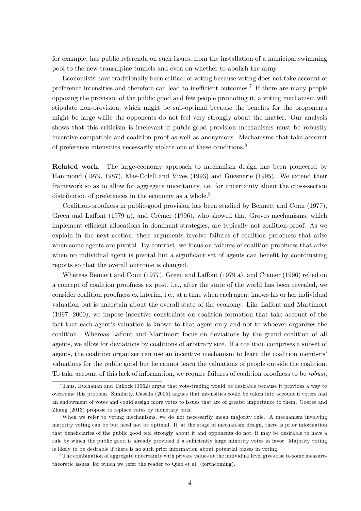for example, has public referenda on such issues, from the installation of a municipal swimming pool to the new transalpine tunnels and even on whether to abolish the army.

Economists have traditionally been critical of voting because voting does not take account of preference intensities and therefore can lead to inefficient outcomes.<sup>7</sup> If there are many people opposing the provision of the public good and few people promoting it, a voting mechanism will stipulate non-provision, which might be sub-optimal because the benefits for the proponents might be large while the opponents do not feel very strongly about the matter. Our analysis shows that this criticism is irrelevant if public-good provision mechanisms must be robustly incentive-compatible and coalition-proof as well as anonymous. Mechanisms that take account of preference intensities necessarily violate one of these conditions.<sup>8</sup>

Related work. The large-economy approach to mechanism design has been pioneered by Hammond (1979, 1987), Mas-Colell and Vives (1993) and Guesnerie (1995). We extend their framework so as to allow for aggregate uncertainty, i.e. for uncertainty about the cross-section distribution of preferences in the economy as a whole.<sup>9</sup>

Coalition-proofness in public-good provision has been studied by Bennett and Conn (1977), Green and Laffont (1979 a), and Crémer (1996), who showed that Groves mechanisms, which implement efficient allocations in dominant strategies, are typically not coalition-proof. As we explain in the next section, their arguments involve failures of coalition proofness that arise when some agents are pivotal. By contrast, we focus on failures of coalition proofness that arise when no individual agent is pivotal but a significant set of agents can benefit by coordinating reports so that the overall outcome is changed.

Whereas Bennett and Conn (1977), Green and Laffont (1979 a), and Crémer (1996) relied on a concept of coalition proofness ex post, i.e., after the state of the world has been revealed, we consider coalition proofness ex interim, i.e., at a time when each agent knows his or her individual valuation but is uncertain about the overall state of the economy. Like Laffont and Martimort (1997, 2000), we impose incentive constraints on coalition formation that take account of the fact that each agent's valuation is known to that agent only and not to whoever organizes the coalition. Whereas Laffont and Martimort focus on deviations by the grand coalition of all agents, we allow for deviations by coalitions of arbitrary size. If a coalition comprises a subset of agents, the coalition organizer can use an incentive mechanism to learn the coalition members' valuations for the public good but he cannot learn the valuations of people outside the coalition. To take account of this lack of information, we require failures of coalition proofness to be robust,

<sup>&</sup>lt;sup>7</sup>Thus, Buchanan and Tullock (1962) argue that vote-trading would be desirable because it provides a way to overcome this problem. Similarly, Casella (2005) argues that intensities could be taken into account if voters had an endowment of votes and could assign more votes to issues that are of greater importance to them. Goeree and Zhang (2013) propose to replace votes by monetary bids.

<sup>8</sup>When we refer to voting mechanisms, we do not necessarily mean majority rule. A mechanism involving majority voting can be but need not be optimal. If, at the stage of mechanism design, there is prior information that beneficiaries of the public good feel strongly about it and opponents do not, it may be desirable to have a rule by which the public good is already provided if a sufficiently large minority votes in favor. Majority voting is likely to be desirable if there is no such prior information about potential biases in voting.

<sup>9</sup>The combination of aggregate uncertainty with private values at the individual level gives rise to some measuretheoretic issues, for which we refer the reader to Qiao et al. (forthcoming).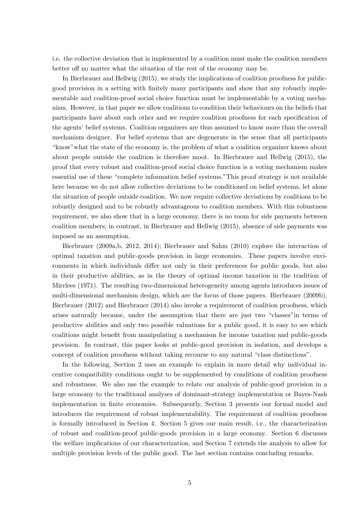i.e. the collective deviation that is implemented by a coalition must make the coalition members better of no matter what the situation of the rest of the economy may be.

In Bierbrauer and Hellwig (2015), we study the implications of coalition proofness for publicgood provision in a setting with Önitely many participants and show that any robustly implementable and coalition-proof social choice function must be implementable by a voting mechanism. However, in that paper we allow coalitions to condition their behaviours on the beliefs that participants have about each other and we require coalition proofness for each specification of the agents' belief systems. Coalition organizers are thus assumed to know more than the overall mechanism designer. For belief systems that are degenerate in the sense that all participants ìknowîwhat the state of the economy is, the problem of what a coalition organizer knows about about people outside the coalition is therefore moot. In Bierbrauer and Hellwig (2015), the proof that every robust and coalition-proof social choice function is a voting mechanism makes essential use of these "complete information belief systems." This proof strategy is not available here because we do not allow collective deviations to be conditioned on belief systems, let alone the situation of people outside coalition. We now require collective deviations by coalitions to be robustly designed and to be robustly advantageous to coalition members. With this robustness requirement, we also show that in a large economy, there is no room for side payments between coalition members; in contrast, in Bierbrauer and Hellwig (2015), absence of side payments was imposed as an assumption.

Bierbrauer (2009a,b, 2012, 2014); Bierbrauer and Sahm (2010) explore the interaction of optimal taxation and public-goods provision in large economies. These papers involve environments in which individuals differ not only in their preferences for public goods, but also in their productive abilities, as in the theory of optimal income taxation in the tradition of Mirrlees (1971). The resulting two-dimensional heterogeneity among agents introduces issues of multi-dimensional mechanism design, which are the focus of those papers. Bierbrauer (2009b), Bierbrauer (2012) and Bierbrauer (2014) also invoke a requirement of coalition proofness, which arises naturally because, under the assumption that there are just two "classes" in terms of productive abilities and only two possible valuations for a public good, it is easy to see which coalitions might benefit from manipulating a mechanism for income taxation and public-goods provision. In contrast, this paper looks at public-good provision in isolation, and develops a concept of coalition proofness without taking recourse to any natural "class distinctions".

In the following, Section 2 uses an example to explain in more detail why individual incentive compatibility conditions ought to be supplemented by conditions of coalition proofness and robustness. We also use the example to relate our analysis of public-good provision in a large economy to the traditional analyses of dominant-strategy implementation or Bayes-Nash implementation in Önite economies. Subsequently, Section 3 presents our formal model and introduces the requirement of robust implementability. The requirement of coalition proofness is formally introduced in Section 4. Section 5 gives our main result, i.e., the characterization of robust and coalition-proof public-goods provision in a large economy. Section 6 discusses the welfare implications of our characterization, and Section 7 extends the analysis to allow for multiple provision levels of the public good. The last section contains concluding remarks.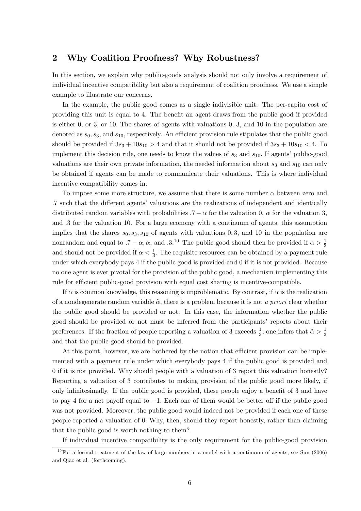## 2 Why Coalition Proofness? Why Robustness?

In this section, we explain why public-goods analysis should not only involve a requirement of individual incentive compatibility but also a requirement of coalition proofness. We use a simple example to illustrate our concerns.

In the example, the public good comes as a single indivisible unit. The per-capita cost of providing this unit is equal to 4. The benefit an agent draws from the public good if provided is either 0, or 3, or 10. The shares of agents with valuations  $0, 3$ , and  $10$  in the population are denoted as  $s_0$ ,  $s_3$ , and  $s_{10}$ , respectively. An efficient provision rule stipulates that the public good should be provided if  $3s_3 + 10s_{10} > 4$  and that it should not be provided if  $3s_3 + 10s_{10} < 4$ . To implement this decision rule, one needs to know the values of  $s_3$  and  $s_{10}$ . If agents' public-good valuations are their own private information, the needed information about  $s_3$  and  $s_{10}$  can only be obtained if agents can be made to communicate their valuations. This is where individual incentive compatibility comes in.

To impose some more structure, we assume that there is some number  $\alpha$  between zero and :7 such that the different agents' valuations are the realizations of independent and identically distributed random variables with probabilities  $.7 - \alpha$  for the valuation 0,  $\alpha$  for the valuation 3, and  $\alpha$  is 3 for the valuation 10. For a large economy with a continuum of agents, this assumption implies that the shares  $s_0, s_3, s_{10}$  of agents with valuations 0, 3, and 10 in the population are nonrandom and equal to  $.7 - \alpha, \alpha$ , and  $.3^{10}$  The public good should then be provided if  $\alpha > \frac{1}{3}$ and should not be provided if  $\alpha < \frac{1}{3}$ . The requisite resources can be obtained by a payment rule under which everybody pays 4 if the public good is provided and 0 if it is not provided. Because no one agent is ever pivotal for the provision of the public good, a mechanism implementing this rule for efficient public-good provision with equal cost sharing is incentive-compatible.

If  $\alpha$  is common knowledge, this reasoning is unproblematic. By contrast, if  $\alpha$  is the realization of a nondegenerate random variable  $\tilde{\alpha}$ , there is a problem because it is not a priori clear whether the public good should be provided or not. In this case, the information whether the public good should be provided or not must be inferred from the participantsí reports about their preferences. If the fraction of people reporting a valuation of 3 exceeds  $\frac{1}{3}$ , one infers that  $\tilde{\alpha} > \frac{1}{3}$ 3 and that the public good should be provided.

At this point, however, we are bothered by the notion that efficient provision can be implemented with a payment rule under which everybody pays 4 if the public good is provided and 0 if it is not provided. Why should people with a valuation of 3 report this valuation honestly? Reporting a valuation of 3 contributes to making provision of the public good more likely, if only infinitesimally. If the public good is provided, these people enjoy a benefit of 3 and have to pay 4 for a net payoff equal to  $-1$ . Each one of them would be better off if the public good was not provided. Moreover, the public good would indeed not be provided if each one of these people reported a valuation of 0: Why, then, should they report honestly, rather than claiming that the public good is worth nothing to them?

If individual incentive compatibility is the only requirement for the public-good provision

 $10$  For a formal treatment of the law of large numbers in a model with a continuum of agents, see Sun (2006) and Qiao et al. (forthcoming).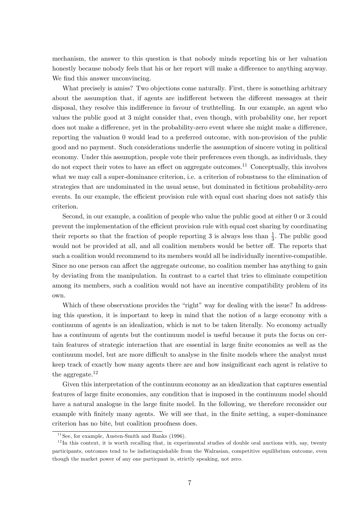mechanism, the answer to this question is that nobody minds reporting his or her valuation honestly because nobody feels that his or her report will make a difference to anything anyway. We find this answer unconvincing.

What precisely is amiss? Two objections come naturally. First, there is something arbitrary about the assumption that, if agents are indifferent between the different messages at their disposal, they resolve this indifference in favour of truthtelling. In our example, an agent who values the public good at 3 might consider that, even though, with probability one, her report does not make a difference, yet in the probability-zero event where she might make a difference, reporting the valuation 0 would lead to a preferred outcome, with non-provision of the public good and no payment. Such considerations underlie the assumption of sincere voting in political economy. Under this assumption, people vote their preferences even though, as individuals, they do not expect their votes to have an effect on aggregate outcomes.<sup>11</sup> Conceptually, this involves what we may call a super-dominance criterion, i.e. a criterion of robustness to the elimination of strategies that are undominated in the usual sense, but dominated in fictitious probability-zero events. In our example, the efficient provision rule with equal cost sharing does not satisfy this criterion.

Second, in our example, a coalition of people who value the public good at either 0 or 3 could prevent the implementation of the efficient provision rule with equal cost sharing by coordinating their reports so that the fraction of people reporting 3 is always less than  $\frac{1}{3}$ . The public good would not be provided at all, and all coalition members would be better off. The reports that such a coalition would recommend to its members would all be individually incentive-compatible. Since no one person can affect the aggregate outcome, no coalition member has anything to gain by deviating from the manipulation. In contrast to a cartel that tries to eliminate competition among its members, such a coalition would not have an incentive compatibility problem of its own.

Which of these observations provides the "right" way for dealing with the issue? In addressing this question, it is important to keep in mind that the notion of a large economy with a continuum of agents is an idealization, which is not to be taken literally. No economy actually has a continuum of agents but the continuum model is useful because it puts the focus on certain features of strategic interaction that are essential in large Önite economies as well as the continuum model, but are more difficult to analyse in the finite models where the analyst must keep track of exactly how many agents there are and how insignificant each agent is relative to the aggregate. $12$ 

Given this interpretation of the continuum economy as an idealization that captures essential features of large finite economies, any condition that is imposed in the continuum model should have a natural analogue in the large finite model. In the following, we therefore reconsider our example with finitely many agents. We will see that, in the finite setting, a super-dominance criterion has no bite, but coalition proofness does.

 $11$ See, for example, Austen-Smith and Banks (1996).

 $12$ In this context, it is worth recalling that, in experimental studies of double oral auctions with, say, twenty participants, outcomes tend to be indistinguishable from the Walrasian, competitive equilibrium outcome, even though the market power of any one particpant is, strictly speaking, not zero.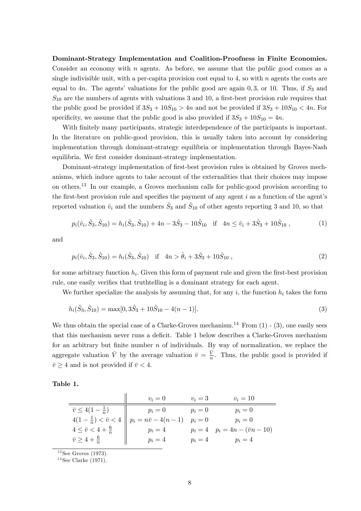Dominant-Strategy Implementation and Coalition-Proofness in Finite Economies. Consider an economy with  $n$  agents. As before, we assume that the public good comes as a single indivisible unit, with a per-capita provision cost equal to 4, so with  $n$  agents the costs are equal to 4n. The agents' valuations for the public good are again  $0, 3$ , or 10. Thus, if  $S_3$  and  $S_{10}$  are the numbers of agents with valuations 3 and 10, a first-best provision rule requires that the public good be provided if  $3S_3 + 10S_{10} > 4n$  and not be provided if  $3S_3 + 10S_{10} < 4n$ . For specificity, we assume that the public good is also provided if  $3S_3 + 10S_{10} = 4n$ .

With finitely many participants, strategic interdependence of the participants is important. In the literature on public-good provision, this is usually taken into account by considering implementation through dominant-strategy equilibria or implementation through Bayes-Nash equilibria. We first consider dominant-strategy implementation.

Dominant-strategy implementation of first-best provision rules is obtained by Groves mechanisms, which induce agents to take account of the externalities that their choices may impose on others.<sup>13</sup> In our example, a Groves mechanism calls for public-good provision according to the first-best provision rule and specifies the payment of any agent  $i$  as a function of the agent's reported valuation  $\hat{v}_i$  and the numbers  $\hat{S}_3$  and  $\hat{S}_{10}$  of other agents reporting 3 and 10, so that

$$
p_i(\hat{v}_i, \hat{S}_3, \hat{S}_{10}) = h_i(\hat{S}_3, \hat{S}_{10}) + 4n - 3\hat{S}_3 - 10\hat{S}_{10} \quad \text{if} \quad 4n \le \hat{v}_i + 3\hat{S}_3 + 10\hat{S}_{10} \,, \tag{1}
$$

and

$$
p_i(\hat{v}_i, \hat{S}_3, \hat{S}_{10}) = h_i(\hat{S}_3, \hat{S}_{10}) \quad \text{if} \quad 4n > \hat{\theta}_i + 3\hat{S}_3 + 10\hat{S}_{10} \,, \tag{2}
$$

for some arbitrary function  $h_i$ . Given this form of payment rule and given the first-best provision rule, one easily verifies that truthtelling is a dominant strategy for each agent.

We further specialize the analysis by assuming that, for any i, the function  $h_i$  takes the form

$$
h_i(\hat{S}_3, \hat{S}_{10}) = \max[0, 3\hat{S}_3 + 10\hat{S}_{10} - 4(n-1)].
$$
\n(3)

We thus obtain the special case of a Clarke-Groves mechanism.<sup>14</sup> From  $(1)$  -  $(3)$ , one easily sees that this mechanism never runs a deficit. Table 1 below describes a Clarke-Groves mechanism for an arbitrary but finite number  $n$  of individuals. By way of normalization, we replace the aggregate valuation  $\bar{V}$  by the average valuation  $\bar{v} = \frac{\bar{V}}{n}$  $\frac{V}{n}$ . Thus, the public good is provided if  $\bar{v} \geq 4$  and is not provided if  $\bar{v} < 4$ .

Table 1.

|                                    | $v_i=0$                                                            | $v_i=3$ | $v_i=10$                               |
|------------------------------------|--------------------------------------------------------------------|---------|----------------------------------------|
| $\bar{v} \leq 4(1-\frac{1}{n})$    | $p_i=0$                                                            | $p_i=0$ | $p_i=0$                                |
|                                    | $4(1-\frac{1}{n}) < \bar{v} < 4 \parallel p_i = n\bar{v} - 4(n-1)$ | $p_i=0$ | $p_i=0$                                |
| $4 \leq \bar{v} < 4 + \frac{6}{n}$ | $p_i=4$                                                            |         | $p_i = 4$ $p_i = 4n - (\bar{v}n - 10)$ |
| $\bar{v} \geq 4 + \frac{6}{n}$     | $p_i=4$                                                            | $p_i=4$ | $p_i=4$                                |

 $13$ See Groves (1973).

 $14$ See Clarke (1971).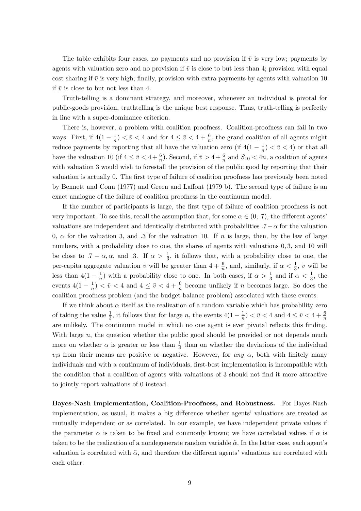The table exhibits four cases, no payments and no provision if  $\bar{v}$  is very low; payments by agents with valuation zero and no provision if  $\bar{v}$  is close to but less than 4; provision with equal cost sharing if  $\bar{v}$  is very high; finally, provision with extra payments by agents with valuation 10 if  $\bar{v}$  is close to but not less than 4.

Truth-telling is a dominant strategy, and moreover, whenever an individual is pivotal for public-goods provision, truthtelling is the unique best response. Thus, truth-telling is perfectly in line with a super-dominance criterion.

There is, however, a problem with coalition proofness. Coalition-proofness can fail in two ways. First, if  $4(1 - \frac{1}{n})$  $\frac{1}{n}$ )  $\lt \bar{v}$   $\lt 4$  and for  $4 \le \bar{v}$   $\lt 4 + \frac{6}{n}$ , the grand coalition of all agents might reduce payments by reporting that all have the valuation zero (if  $4(1 - \frac{1}{n})$  $\frac{1}{n}$   $\left($   $\frac{1}{\overline{v}} \right)$   $\left($   $\frac{1}{\overline{v}} \right)$  or that all have the valuation 10 (if  $4 \leq \bar{v} < 4 + \frac{6}{n}$ ). Second, if  $\bar{v} > 4 + \frac{6}{n}$  and  $S_{10} < 4n$ , a coalition of agents with valuation 3 would wish to forestall the provision of the public good by reporting that their valuation is actually 0. The first type of failure of coalition proofness has previously been noted by Bennett and Conn  $(1977)$  and Green and Laffont  $(1979 b)$ . The second type of failure is an exact analogue of the failure of coalition proofness in the continuum model.

If the number of participants is large, the first type of failure of coalition proofness is not very important. To see this, recall the assumption that, for some  $\alpha \in (0, .7)$ , the different agents' valuations are independent and identically distributed with probabilities  $.7 - \alpha$  for the valuation 0,  $\alpha$  for the valuation 3, and 3 for the valuation 10. If n is large, then, by the law of large numbers, with a probability close to one, the shares of agents with valuations 0,3, and 10 will be close to  $.7 - \alpha, \alpha$ , and  $.3$ . If  $\alpha > \frac{1}{3}$ , it follows that, with a probability close to one, the per-capita aggregate valuation  $\bar{v}$  will be greater than  $4 + \frac{6}{n}$ , and, similarly, if  $\alpha < \frac{1}{3}$ ,  $\bar{v}$  will be less than  $4(1 - \frac{1}{n})$  $\frac{1}{n}$ ) with a probability close to one. In both cases, if  $\alpha > \frac{1}{3}$  and if  $\alpha < \frac{1}{3}$ , the events  $4(1-\frac{1}{n})$  $\frac{1}{n}$ )  $\langle \bar{v} \rangle \langle 4 \rangle$  and  $4 \leq \bar{v} \langle 4 + \frac{6}{n} \rangle$  become unlikely if n becomes large. So does the coalition proofness problem (and the budget balance problem) associated with these events.

If we think about  $\alpha$  itself as the realization of a random variable which has probability zero of taking the value  $\frac{1}{3}$ , it follows that for large *n*, the events  $4(1 - \frac{1}{n})$  $(\frac{1}{n}) < \bar{v} < 4$  and  $4 \leq \bar{v} < 4 + \frac{6}{n}$ are unlikely. The continuum model in which no one agent is ever pivotal reflects this finding. With large n, the question whether the public good should be provided or not depends much more on whether  $\alpha$  is greater or less than  $\frac{1}{3}$  than on whether the deviations of the individual  $v_i$ s from their means are positive or negative. However, for any  $\alpha$ , both with finitely many individuals and with a continuum of individuals, first-best implementation is incompatible with the condition that a coalition of agents with valuations of 3 should not Önd it more attractive to jointly report valuations of 0 instead.

Bayes-Nash Implementation, Coalition-Proofness, and Robustness. For Bayes-Nash implementation, as usual, it makes a big difference whether agents' valuations are treated as mutually independent or as correlated. In our example, we have independent private values if the parameter  $\alpha$  is taken to be fixed and commonly known; we have correlated values if  $\alpha$  is taken to be the realization of a nondegenerate random variable  $\tilde{\alpha}$ . In the latter case, each agent's valuation is correlated with  $\tilde{\alpha}$ , and therefore the different agents' valuations are correlated with each other.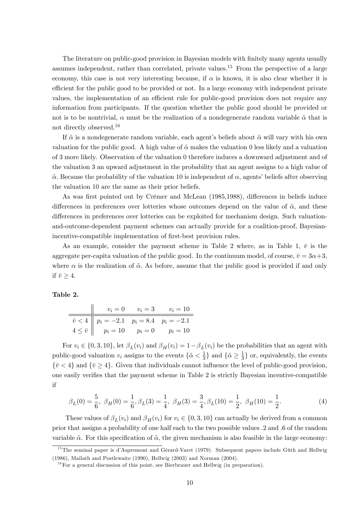The literature on public-good provision in Bayesian models with finitely many agents usually assumes independent, rather than correlated, private values.<sup>15</sup> From the perspective of a large economy, this case is not very interesting because, if  $\alpha$  is known, it is also clear whether it is efficient for the public good to be provided or not. In a large economy with independent private values, the implementation of an efficient rule for public-good provision does not require any information from participants. If the question whether the public good should be provided or not is to be nontrivial,  $\alpha$  must be the realization of a nondegenerate random variable  $\tilde{\alpha}$  that is not directly observed.<sup>16</sup>

If  $\tilde{\alpha}$  is a nondegenerate random variable, each agent's beliefs about  $\tilde{\alpha}$  will vary with his own valuation for the public good. A high value of  $\tilde{\alpha}$  makes the valuation 0 less likely and a valuation of 3 more likely. Observation of the valuation 0 therefore induces a downward adjustment and of the valuation 3 an upward adjustment in the probability that an agent assigns to a high value of  $\tilde{\alpha}$ . Because the probability of the valuation 10 is independent of  $\alpha$ , agents' beliefs after observing the valuation 10 are the same as their prior beliefs.

As was first pointed out by Crémer and McLean (1985,1988), differences in beliefs induce differences in preferences over lotteries whose outcomes depend on the value of  $\tilde{\alpha}$ , and these differences in preferences over lotteries can be exploited for mechanism design. Such valuationand-outcome-dependent payment schemes can actually provide for a coalition-proof, Bayesianincentive-compatible implementation of first-best provision rules.

As an example, consider the payment scheme in Table 2 where, as in Table 1,  $\bar{v}$  is the aggregate per-capita valuation of the public good. In the continuum model, of course,  $\bar{v} = 3\alpha+3$ , where  $\alpha$  is the realization of  $\tilde{\alpha}$ . As before, assume that the public good is provided if and only if  $\bar{v} > 4$ .

#### Table 2.

|                                                                                                                  | $v_i = 0$ $v_i = 3$ $v_i = 10$ |
|------------------------------------------------------------------------------------------------------------------|--------------------------------|
| $\overline{v} < 4$ $p_i = -2.1$ $p_i = 8.4$ $p_i = -2.1$<br>$4 \le \overline{v}$ $p_i = 10$ $p_i = 0$ $p_i = 10$ |                                |
|                                                                                                                  |                                |

For  $v_i \in \{0, 3, 10\}$ , let  $\beta_L(v_i)$  and  $\beta_H(v_i) = 1 - \beta_L(v_i)$  be the probabilities that an agent with public-good valuation  $v_i$  assigns to the events  $\{\tilde{\alpha} < \frac{1}{3}\}$  $\frac{1}{3}$  and  $\{\tilde{\alpha} \geq \frac{1}{3}\}$  $\frac{1}{3}$  or, equivalently, the events  $\{\bar{v} < 4\}$  and  $\{\bar{v} \geq 4\}$ . Given that individuals cannot influence the level of public-good provision, one easily verifies that the payment scheme in Table 2 is strictly Bayesian incentive-compatible if

$$
\beta_L(0) = \frac{5}{6}, \ \beta_H(0) = \frac{1}{6}, \beta_L(3) = \frac{1}{4}, \ \beta_H(3) = \frac{3}{4}, \beta_L(10) = \frac{1}{2}, \ \beta_H(10) = \frac{1}{2}.\tag{4}
$$

These values of  $\beta_L(v_i)$  and  $\beta_H(v_i)$  for  $v_i \in \{0, 3, 10\}$  can actually be derived from a common prior that assigns a probability of one half each to the two possible values :2 and :6 of the random variable  $\tilde{\alpha}$ . For this specification of  $\tilde{\alpha}$ , the given mechanism is also feasible in the large economy:

 $15$ The seminal paper is d'Aspremont and Gérard-Varet (1979). Subsequent papers include Güth and Hellwig (1986), Mailath and Postlewaite (1990), Hellwig (2003) and Norman (2004).

 $16$  For a general discussion of this point, see Bierbrauer and Hellwig (in preparation).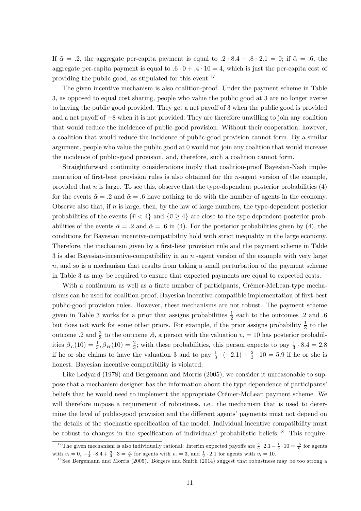If  $\tilde{\alpha} = .2$ , the aggregate per-capita payment is equal to  $.2 \cdot 8.4 - .8 \cdot 2.1 = 0$ ; if  $\tilde{\alpha} = .6$ , the aggregate per-capita payment is equal to  $.6 \cdot 0 + .4 \cdot 10 = 4$ , which is just the per-capita cost of providing the public good, as stipulated for this event.<sup>17</sup>

The given incentive mechanism is also coalition-proof. Under the payment scheme in Table 3, as opposed to equal cost sharing, people who value the public good at 3 are no longer averse to having the public good provided. They get a net payoff of 3 when the public good is provided and a net payoff of  $-8$  when it is not provided. They are therefore unwilling to join any coalition that would reduce the incidence of public-good provision. Without their cooperation, however, a coalition that would reduce the incidence of public-good provision cannot form. By a similar argument, people who value the public good at 0 would not join any coalition that would increase the incidence of public-good provision, and, therefore, such a coalition cannot form.

Straightforward continuity considerations imply that coalition-proof Bayesian-Nash implementation of first-best provision rules is also obtained for the  $n$ -agent version of the example, provided that  $n$  is large. To see this, observe that the type-dependent posterior probabilities  $(4)$ for the events  $\tilde{\alpha} = .2$  and  $\tilde{\alpha} = .6$  have nothing to do with the number of agents in the economy. Observe also that, if  $n$  is large, then, by the law of large numbers, the type-dependent posterior probabilities of the events  $\{\bar{v} < 4\}$  and  $\{\bar{v} > 4\}$  are close to the type-dependent posterior probabilities of the events  $\tilde{\alpha} = .2$  and  $\tilde{\alpha} = .6$  in (4). For the posterior probabilities given by (4), the conditions for Bayesian incentive-compatibility hold with strict inequality in the large economy. Therefore, the mechanism given by a first-best provision rule and the payment scheme in Table  $3$  is also Bayesian-incentive-compatibility in an  $n$  -agent version of the example with very large  $n$ , and so is a mechanism that results from taking a small perturbation of the payment scheme in Table 3 as may be required to ensure that expected payments are equal to expected costs.

With a continuum as well as a finite number of participants, Crémer-McLean-type mechanisms can be used for coalition-proof, Bayesian incentive-compatible implementation of first-best public-good provision rules. However, these mechanisms are not robust. The payment scheme given in Table 3 works for a prior that assigns probabilities  $\frac{1}{2}$  each to the outcomes .2 and .6 but does not work for some other priors. For example, if the prior assigns probability  $\frac{1}{3}$  to the outcome .2 and  $\frac{2}{3}$  to the outcome .6, a person with the valuation  $v_i = 10$  has posterior probabilities  $\beta_L(10) = \frac{1}{3}$ ,  $\beta_H(10) = \frac{2}{3}$ ; with these probabilities, this person expects to pay  $\frac{1}{3} \cdot 8.4 = 2.8$ if he or she claims to have the valuation 3 and to pay  $\frac{1}{3} \cdot (-2.1) + \frac{2}{3} \cdot 10 = 5.9$  if he or she is honest. Bayesian incentive compatibility is violated.

Like Ledyard (1978) and Bergemann and Morris (2005), we consider it unreasonable to suppose that a mechanism designer has the information about the type dependence of participantsí beliefs that he would need to implement the appropriate Crémer-McLean payment scheme. We will therefore impose a requirement of robustness, i.e., the mechanism that is used to determine the level of public-good provision and the different agents' payments must not depend on the details of the stochastic specification of the model. Individual incentive compatibility must be robust to changes in the specification of individuals' probabilistic beliefs.<sup>18</sup> This require-

<sup>&</sup>lt;sup>17</sup>The given mechanism is also individually rational: Interim expected payoffs are  $\frac{5}{6} \cdot 2.1 - \frac{1}{6} \cdot 10 = \frac{.5}{6}$  for agents with  $v_i = 0, -\frac{1}{4} \cdot 8.4 + \frac{3}{4} \cdot 3 = \frac{.6}{4}$  for agents with  $v_i = 3$ , and  $\frac{1}{2} \cdot 2.1$  for agents with  $v_i = 10$ .

 $18$ See Bergemann and Morris (2005). Börgers and Smith (2014) suggest that robustness may be too strong a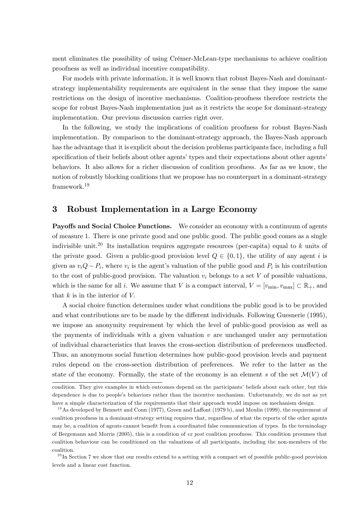ment eliminates the possibility of using Crémer-McLean-type mechanisms to achieve coalition proofness as well as individual incentive compatibility.

For models with private information, it is well known that robust Bayes-Nash and dominantstrategy implementability requirements are equivalent in the sense that they impose the same restrictions on the design of incentive mechanisms. Coalition-proofness therefore restricts the scope for robust Bayes-Nash implementation just as it restricts the scope for dominant-strategy implementation. Our previous discussion carries right over.

In the following, we study the implications of coalition proofness for robust Bayes-Nash implementation. By comparison to the dominant-strategy approach, the Bayes-Nash approach has the advantage that it is explicit about the decision problems participants face, including a full specification of their beliefs about other agents' types and their expectations about other agents' behaviors. It also allows for a richer discussion of coalition proofness. As far as we know, the notion of robustly blocking coalitions that we propose has no counterpart in a dominant-strategy framework.<sup>19</sup>

### 3 Robust Implementation in a Large Economy

**Payoffs and Social Choice Functions.** We consider an economy with a continuum of agents of measure 1. There is one private good and one public good. The public good comes as a single indivisible unit.<sup>20</sup> Its installation requires aggregate resources (per-capita) equal to k units of the private good. Given a public-good provision level  $Q \in \{0, 1\}$ , the utility of any agent i is given as  $v_iQ - P_i$ , where  $v_i$  is the agent's valuation of the public good and  $P_i$  is his contribution to the cost of public-good provision. The valuation  $v_i$  belongs to a set V of possible valuations, which is the same for all i. We assume that V is a compact interval,  $V = [v_{\min}, v_{\max}] \subset \mathbb{R}_+$ , and that  $k$  is in the interior of  $V$ .

A social choice function determines under what conditions the public good is to be provided and what contributions are to be made by the different individuals. Following Guesnerie (1995), we impose an anonymity requirement by which the level of public-good provision as well as the payments of individuals with a given valuation  $v$  are unchanged under any permutation of individual characteristics that leaves the cross-section distribution of preferences una§ected. Thus, an anonymous social function determines how public-good provision levels and payment rules depend on the cross-section distribution of preferences. We refer to the latter as the state of the economy. Formally, the state of the economy is an element s of the set  $\mathcal{M}(V)$  of

condition. They give examples in which outcomes depend on the participants' beliefs about each other, but this dependence is due to peopleís behaviors rather than the incentive mechanism. Unfortunately, we do not as yet have a simple characterization of the requirements that their approach would impose on mechanism design.

<sup>&</sup>lt;sup>19</sup>As developed by Bennett and Conn (1977), Green and Laffont (1979 b), and Moulin (1999), the requirement of coalition proofness in a dominant-strategy setting requires that, regardless of what the reports of the other agents may be, a coalition of agents cannot benefit from a coordinated false communication of types. In the terminology of Bergemann and Morris (2005), this is a condition of ex post coalition proofness. This condition presumes that coalition behaviour can be conditioned on the valuations of all participants, including the non-members of the coalition.

 $^{20}$  In Section 7 we show that our results extend to a setting with a compact set of possible public-good provision levels and a linear cost function.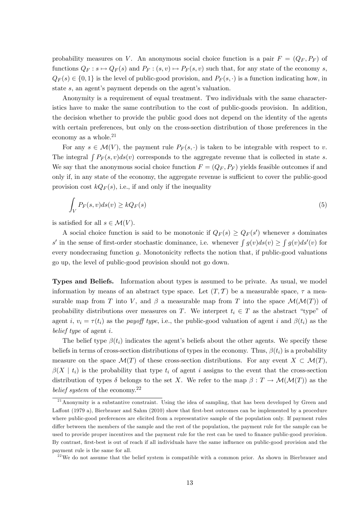probability measures on V. An anonymous social choice function is a pair  $F = (Q_F, P_F)$  of functions  $Q_F : s \mapsto Q_F (s)$  and  $P_F : (s, v) \mapsto P_F (s, v)$  such that, for any state of the economy s,  $Q_F(s) \in \{0,1\}$  is the level of public-good provision, and  $P_F(s, \cdot)$  is a function indicating how, in state  $s$ , an agent's payment depends on the agent's valuation.

Anonymity is a requirement of equal treatment. Two individuals with the same characteristics have to make the same contribution to the cost of public-goods provision. In addition, the decision whether to provide the public good does not depend on the identity of the agents with certain preferences, but only on the cross-section distribution of those preferences in the economy as a whole. $2<sup>1</sup>$ 

For any  $s \in \mathcal{M}(V)$ , the payment rule  $P_F(s, \cdot)$  is taken to be integrable with respect to v. The integral  $\int P_F(s, v)ds(v)$  corresponds to the aggregate revenue that is collected in state s. We say that the anonymous social choice function  $F = (Q_F, P_F)$  yields feasible outcomes if and only if, in any state of the economy, the aggregate revenue is sufficient to cover the public-good provision cost  $kQ_F(s)$ , i.e., if and only if the inequality

$$
\int_{V} P_{F}(s,v)ds(v) \ge kQ_{F}(s)
$$
\n(5)

is satisfied for all  $s \in \mathcal{M}(V)$ .

A social choice function is said to be monotonic if  $Q_F(s) \geq Q_F(s')$  whenever s dominates s' in the sense of first-order stochastic dominance, i.e. whenever  $\int g(v)ds(v) \ge \int g(v)ds'(v)$  for every nondecrasing function  $g$ . Monotonicity reflects the notion that, if public-good valuations go up, the level of public-good provision should not go down.

Types and Beliefs. Information about types is assumed to be private. As usual, we model information by means of an abstract type space. Let  $(T, \mathcal{T})$  be a measurable space,  $\tau$  a measurable map from T into V, and  $\beta$  a measurable map from T into the space  $\mathcal{M}(\mathcal{M}(T))$  of probability distributions over measures on T. We interpret  $t_i \in T$  as the abstract "type" of agent i,  $v_i = \tau(t_i)$  as the payoff type, i.e., the public-good valuation of agent i and  $\beta(t_i)$  as the belief type of agent i.

The belief type  $\beta(t_i)$  indicates the agent's beliefs about the other agents. We specify these beliefs in terms of cross-section distributions of types in the economy. Thus,  $\beta(t_i)$  is a probability measure on the space  $\mathcal{M}(T)$  of these cross-section distributions. For any event  $X \subset \mathcal{M}(T)$ ,  $\beta(X \mid t_i)$  is the probability that type  $t_i$  of agent i assigns to the event that the cross-section distribution of types  $\delta$  belongs to the set X. We refer to the map  $\beta : T \to \mathcal{M}(\mathcal{M}(T))$  as the belief system of the economy.<sup>22</sup>

 $21$ Anonymity is a substantive constraint. Using the idea of sampling, that has been developed by Green and Laffont (1979 a), Bierbrauer and Sahm (2010) show that first-best outcomes can be implemented by a procedure where public-good preferences are elicited from a representative sample of the population only. If payment rules differ between the members of the sample and the rest of the population, the payment rule for the sample can be used to provide proper incentives and the payment rule for the rest can be used to finance public-good provision. By contrast, first-best is out of reach if all individuals have the same influence on public-good provision and the payment rule is the same for all.

 $2<sup>22</sup>$ We do not assume that the belief system is compatible with a common prior. As shown in Bierbrauer and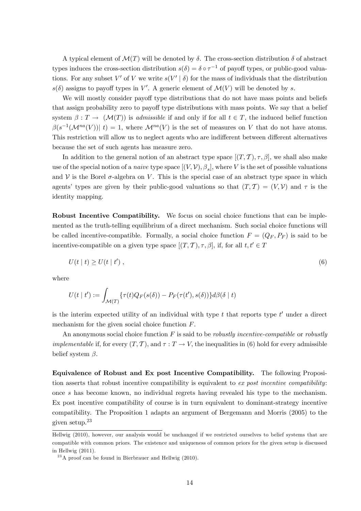A typical element of  $\mathcal{M}(T)$  will be denoted by  $\delta$ . The cross-section distribution  $\delta$  of abstract types induces the cross-section distribution  $s(\delta) = \delta \circ \tau^{-1}$  of payoff types, or public-good valuations. For any subset  $V'$  of  $V$  we write  $s(V' | \delta)$  for the mass of individuals that the distribution  $s(\delta)$  assigns to payoff types in V'. A generic element of  $\mathcal{M}(V)$  will be denoted by s.

We will mostly consider payoff type distributions that do not have mass points and beliefs that assign probability zero to payoff type distributions with mass points. We say that a belief system  $\beta : T \to (\mathcal{M}(T))$  is *admissible* if and only if for all  $t \in T$ , the induced belief function  $\beta(s^{-1}(\mathcal{M}^{na}(V))| t) = 1$ , where  $\mathcal{M}^{na}(V)$  is the set of measures on V that do not have atoms. This restriction will allow us to neglect agents who are indifferent between different alternatives because the set of such agents has measure zero.

In addition to the general notion of an abstract type space  $[(T, \mathcal{T}), \tau, \beta]$ , we shall also make use of the special notion of a *naive* type space  $[(V, V), \beta_s]$ , where V is the set of possible valuations and  $V$  is the Borel  $\sigma$ -algebra on V. This is the special case of an abstract type space in which agents' types are given by their public-good valuations so that  $(T, \mathcal{T}) = (V, \mathcal{V})$  and  $\tau$  is the identity mapping.

Robust Incentive Compatibility. We focus on social choice functions that can be implemented as the truth-telling equilibrium of a direct mechanism. Such social choice functions will be called incentive-compatible. Formally, a social choice function  $F = (Q_F, P_F)$  is said to be incentive-compatible on a given type space  $[(T, \mathcal{T}), \tau, \beta]$ , if, for all  $t, t' \in \mathcal{T}$ 

$$
U(t | t) \ge U(t | t'), \qquad (6)
$$

where

$$
U(t | t') := \int_{\mathcal{M}(T)} \{ \tau(t) Q_F(s(\delta)) - P_F(\tau(t'), s(\delta)) \} d\beta(\delta | t)
$$

is the interim expected utility of an individual with type  $t$  that reports type  $t'$  under a direct mechanism for the given social choice function F.

An anonymous social choice function  $F$  is said to be *robustly incentive-compatible* or *robustly implementable* if, for every  $(T, \mathcal{T})$ , and  $\tau : T \to V$ , the inequalities in (6) hold for every admissible belief system  $\beta$ .

Equivalence of Robust and Ex post Incentive Compatibility. The following Proposition asserts that robust incentive compatibility is equivalent to ex post incentive compatibility: once s has become known, no individual regrets having revealed his type to the mechanism. Ex post incentive compatibility of course is in turn equivalent to dominant-strategy incentive compatibility. The Proposition 1 adapts an argument of Bergemann and Morris (2005) to the given setup.<sup>23</sup>

Hellwig (2010), however, our analysis would be unchanged if we restricted ourselves to belief systems that are compatible with common priors. The existence and uniqueness of common priors for the given setup is discussed in Hellwig (2011).

 $^{23}$ A proof can be found in Bierbrauer and Hellwig (2010).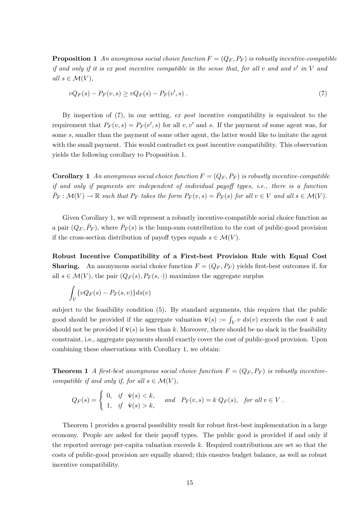**Proposition 1** An anonymous social choice function  $F = (Q_F, P_F)$  is robustly incentive-compatible if and only if it is expost incentive compatible in the sense that, for all  $v$  and and  $v'$  in  $V$  and all  $s \in \mathcal{M}(V)$ ,

$$
vQ_F(s) - P_F(v, s) \ge vQ_F(s) - P_F(v', s) \tag{7}
$$

By inspection of (7), in our setting, ex post incentive compatibility is equivalent to the requirement that  $P_F(v, s) = P_F(v', s)$  for all v, v' and s. If the payment of some agent was, for some  $s$ , smaller than the payment of some other agent, the latter would like to imitate the agent with the small payment. This would contradict ex post incentive compatibility. This observation yields the following corollary to Proposition 1.

**Corollary 1** An anonymous social choice function  $F = (Q_F, P_F)$  is robustly incentive-compatible if and only if payments are independent of individual payoff types, i.e., there is a function  $\bar{P}_F: \mathcal{M}(V) \to \mathbb{R}$  such that  $P_F$  takes the form  $P_F(v, s) = \bar{P}_F(s)$  for all  $v \in V$  and all  $s \in \mathcal{M}(V)$ .

Given Corollary 1, we will represent a robustly incentive-compatible social choice function as a pair  $(Q_F, \bar{P}_F)$ , where  $\bar{P}_F(s)$  is the lump-sum contribution to the cost of public-good provision if the cross-section distribution of payoff types equals  $s \in \mathcal{M}(V)$ .

Robust Incentive Compatibility of a First-best Provision Rule with Equal Cost **Sharing.** An anonymous social choice function  $F = (Q_F, P_F)$  yields first-best outcomes if, for all  $s \in \mathcal{M}(V)$ , the pair  $(Q_F(s), P_F(s, \cdot))$  maximizes the aggregate surplus

$$
\int_V \{vQ_F(s) - P_F(s,v)\} ds(v)
$$

subject to the feasibility condition (5). By standard arguments, this requires that the public good should be provided if the aggregate valuation  $\bar{\mathbf{v}}(s) := \int_V v \, ds(v)$  exceeds the cost k and should not be provided if  $\bar{\mathbf{v}}(s)$  is less than k. Moreover, there should be no slack in the feasibility constraint, i.e., aggregate payments should exactly cover the cost of public-good provision. Upon combining these observations with Corollary 1, we obtain:

**Theorem 1** A first-best anonymous social choice function  $F = (Q_F, P_F)$  is robustly incentivecompatible if and only if, for all  $s \in \mathcal{M}(V)$ ,

$$
Q_F(s) = \begin{cases} 0, & \text{if } \overline{\mathbf{v}}(s) < k, \\ 1, & \text{if } \overline{\mathbf{v}}(s) > k, \end{cases} \quad \text{and} \quad P_F(v, s) = k \ Q_F(s), \text{ for all } v \in V.
$$

Theorem 1 provides a general possibility result for robust first-best implementation in a large economy. People are asked for their payoff types. The public good is provided if and only if the reported average per-capita valuation exceeds  $k$ . Required contributions are set so that the costs of public-good provision are equally shared; this ensures budget balance, as well as robust incentive compatibility.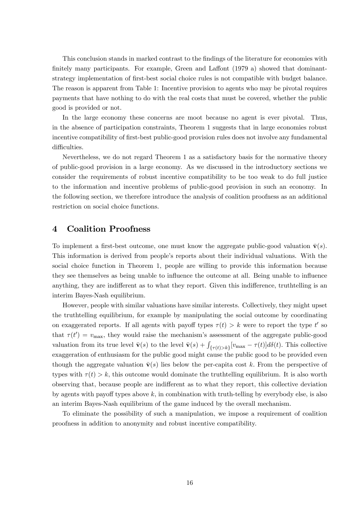This conclusion stands in marked contrast to the findings of the literature for economies with finitely many participants. For example, Green and Laffont  $(1979 a)$  showed that dominantstrategy implementation of first-best social choice rules is not compatible with budget balance. The reason is apparent from Table 1: Incentive provision to agents who may be pivotal requires payments that have nothing to do with the real costs that must be covered, whether the public good is provided or not.

In the large economy these concerns are moot because no agent is ever pivotal. Thus, in the absence of participation constraints, Theorem 1 suggests that in large economies robust incentive compatibility of first-best public-good provision rules does not involve any fundamental difficulties.

Nevertheless, we do not regard Theorem 1 as a satisfactory basis for the normative theory of public-good provision in a large economy. As we discussed in the introductory sections we consider the requirements of robust incentive compatibility to be too weak to do full justice to the information and incentive problems of public-good provision in such an economy. In the following section, we therefore introduce the analysis of coalition proofness as an additional restriction on social choice functions.

#### 4 Coalition Proofness

To implement a first-best outcome, one must know the aggregate public-good valuation  $\bar{\mathbf{v}}(s)$ . This information is derived from people's reports about their individual valuations. With the social choice function in Theorem 1, people are willing to provide this information because they see themselves as being unable to influence the outcome at all. Being unable to influence anything, they are indifferent as to what they report. Given this indifference, truthtelling is an interim Bayes-Nash equilibrium.

However, people with similar valuations have similar interests. Collectively, they might upset the truthtelling equilibrium, for example by manipulating the social outcome by coordinating on exaggerated reports. If all agents with payoff types  $\tau(t) > k$  were to report the type t' so that  $\tau(t') = v_{\text{max}}$ , they would raise the mechanism's assessment of the aggregate public-good valuation from its true level  $\bar{\mathbf{v}}(s)$  to the level  $\bar{\mathbf{v}}(s) + \int_{\{\tau(t)>k\}} [v_{\text{max}} - \tau(t)] d\delta(t)$ . This collective exaggeration of enthusiasm for the public good might cause the public good to be provided even though the aggregate valuation  $\bar{\mathbf{v}}(s)$  lies below the per-capita cost k. From the perspective of types with  $\tau(t) > k$ , this outcome would dominate the truthtelling equilibrium. It is also worth observing that, because people are indifferent as to what they report, this collective deviation by agents with payoff types above  $k$ , in combination with truth-telling by everybody else, is also an interim Bayes-Nash equilibrium of the game induced by the overall mechanism.

To eliminate the possibility of such a manipulation, we impose a requirement of coalition proofness in addition to anonymity and robust incentive compatibility.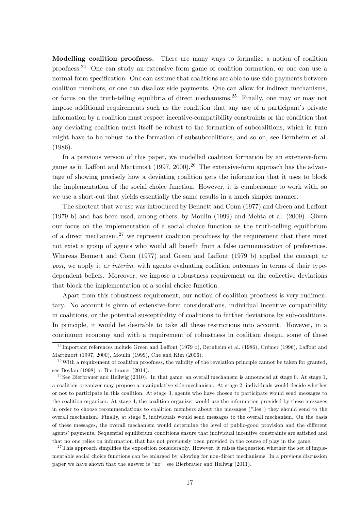Modelling coalition proofness. There are many ways to formalize a notion of coalition proofness.<sup>24</sup> One can study an extensive form game of coalition formation, or one can use a normal-form specification. One can assume that coalitions are able to use side-payments between coalition members, or one can disallow side payments. One can allow for indirect mechanisms, or focus on the truth-telling equilibria of direct mechanisms.<sup>25</sup> Finally, one may or may not impose additional requirements such as the condition that any use of a participant's private information by a coalition must respect incentive-compatibility constraints or the condition that any deviating coalition must itself be robust to the formation of subcoalitions, which in turn might have to be robust to the formation of subsubcoalitions, and so on, see Bernheim et al. (1986).

In a previous version of this paper, we modelled coalition formation by an extensive-form game as in Laffont and Martimort (1997, 2000).<sup>26</sup> The extensive-form approach has the advantage of showing precisely how a deviating coalition gets the information that it uses to block the implementation of the social choice function. However, it is cumbersome to work with, so we use a short-cut that yields essentially the same results in a much simpler manner.

The shortcut that we use was introduced by Bennett and Conn (1977) and Green and Laffont (1979 b) and has been used, among others, by Moulin (1999) and Mehta et al. (2009). Given our focus on the implementation of a social choice function as the truth-telling equilibrium of a direct mechanism,  $27$  we represent coalition proofness by the requirement that there must not exist a group of agents who would all benefit from a false communication of preferences. Whereas Bennett and Conn (1977) and Green and Laffont (1979 b) applied the concept  $ex$ post, we apply it ex interim, with agents evaluating coalition outcomes in terms of their typedependent beliefs. Moreover, we impose a robustness requirement on the collective deviations that block the implementation of a social choice function.

Apart from this robustness requirement, our notion of coalition proofness is very rudimentary. No account is given of extensive-form considerations, individual incentive compatibility in coalitions, or the potential susceptibility of coalitions to further deviations by sub-coalitions. In principle, it would be desirable to take all these restrictions into account. However, in a continuum economy and with a requirement of robustness in coalition design, some of these

<sup>27</sup>This approach simplifies the exposition considerably. However, it raises the question whether the set of implementable social choice functions can be enlarged by allowing for non-direct mechanisms. In a previous discussion paper we have shown that the answer is "no", see Bierbrauer and Hellwig (2011).

 $^{24}$ Important references include Green and Laffont (1979 b), Bernheim et al. (1986), Crémer (1996), Laffont and Martimort (1997, 2000), Moulin (1999), Che and Kim (2006).

 $^{25}$  With a requirement of coalition proofness, the validity of the revelation principle cannot be taken for granted, see Boylan (1998) or Bierbrauer (2014).

<sup>&</sup>lt;sup>26</sup>See Bierbrauer and Hellwig (2010). In that game, an overall mechanism is announced at stage 0. At stage 1, a coalition organizer may propose a manipulative side-mechanism. At stage 2, individuals would decide whether or not to participate in this coalition. At stage 3, agents who have chosen to participate would send messages to the coalition organizer. At stage 4, the coalition organizer would use the information provided by these messages in order to choose recommendations to coalition members about the messages ("lies") they should send to the overall mechanism. Finally, at stage 5, individuals would send messages to the overall mechanism. On the basis of these messages, the overall mechanism would determine the level of public-good provision and the different agents' payments. Sequential equilibrium conditions ensure that individual incentive constraints are satisfied and that no one relies on information that has not previously been provided in the course of play in the game.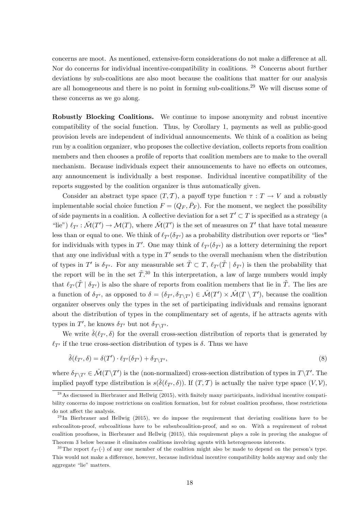concerns are moot. As mentioned, extensive-form considerations do not make a difference at all. Nor do concerns for individual incentive-compatibility in coalitions. <sup>28</sup> Concerns about further deviations by sub-coalitions are also moot because the coalitions that matter for our analysis are all homogeneous and there is no point in forming sub-coalitions.<sup>29</sup> We will discuss some of these concerns as we go along.

Robustly Blocking Coalitions. We continue to impose anonymity and robust incentive compatibility of the social function. Thus, by Corollary 1, payments as well as public-good provision levels are independent of individual announcements. We think of a coalition as being run by a coalition organizer, who proposes the collective deviation, collects reports from coalition members and then chooses a profile of reports that coalition members are to make to the overall mechanism. Because individuals expect their announcements to have no effects on outcomes, any announcement is individually a best response. Individual incentive compatibility of the reports suggested by the coalition organizer is thus automatically given.

Consider an abstract type space  $(T, \mathcal{T})$ , a payoff type function  $\tau : T \to V$  and a robustly implementable social choice function  $F = (Q_F, \bar{P}_F)$ . For the moment, we neglect the possibility of side payments in a coalition. A collective deviation for a set  $T' \subset T$  is specified as a strategy (a "lie")  $\ell_{T'} : \hat{\mathcal{M}}(T') \to \mathcal{M}(T)$ , where  $\hat{\mathcal{M}}(T')$  is the set of measures on T' that have total measure less than or equal to one. We think of  $\ell_{T}(\delta_{T})$  as a probability distribution over reports or "lies" for individuals with types in T'. One may think of  $\ell_{T}(\delta_{T})$  as a lottery determining the report that any one individual with a type in  $T'$  sends to the overall mechanism when the distribution of types in T' is  $\delta_{T'}$ . For any measurable set  $\tilde{T} \subset T$ ,  $\ell_{T'}(\tilde{T} | \delta_{T'})$  is then the probability that the report will be in the set  $\tilde{T}^{30}$ . In this interpretation, a law of large numbers would imply that  $\ell_{T}(\tilde{T} | \delta_{T})$  is also the share of reports from coalition members that lie in  $\tilde{T}$ . The lies are a function of  $\delta_{T'}$ , as opposed to  $\delta = (\delta_{T'}, \delta_{T \setminus T'}) \in \mathcal{\hat{M}}(T'') \times \mathcal{\hat{M}}(T \setminus T')$ , because the coalition organizer observes only the types in the set of participating individuals and remains ignorant about the distribution of types in the complimentary set of agents, if he attracts agents with types in T', he knows  $\delta_{T'}$  but not  $\delta_{T\setminus T'}$ .

We write  $\hat{\delta}(\ell_{T'}, \delta)$  for the overall cross-section distribution of reports that is generated by  $\ell_{T'}$  if the true cross-section distribution of types is  $\delta$ . Thus we have

$$
\hat{\delta}(\ell_{T'}, \delta) = \delta(T') \cdot \ell_{T'}(\delta_{T'}) + \delta_{T \setminus T'},\tag{8}
$$

where  $\delta_{T\setminus T'} \in \mathcal{\hat{M}}(T\setminus T')$  is the (non-normalized) cross-section distribution of types in  $T\setminus T'$ . The implied payoff type distribution is  $s(\hat{\delta}(\ell_{T'}, \delta))$ . If  $(T, \mathcal{T})$  is actually the naive type space  $(V, \mathcal{V})$ ,

<sup>&</sup>lt;sup>28</sup>As discussed in Bierbrauer and Hellwig (2015), with finitely many participants, individual incentive compatibility concerns do impose restrictions on coalition formation, but for robust coalition proofness, these restrictions do not affect the analysis.

<sup>&</sup>lt;sup>29</sup> In Bierbrauer and Hellwig (2015), we do impose the requirement that deviating coalitions have to be subcoaliton-proof, subcoalitions have to be subsubcoalition-proof, and so on. With a requirement of robust coalition proofness, in Bierbrauer and Hellwig (2015), this requirement plays a role in proving the analogue of Theorem 3 below because it eliminates coalitions involving agents with heterogeneous interests.

<sup>&</sup>lt;sup>30</sup>The report  $\ell_{T'}(\cdot)$  of any one member of the coalition might also be made to depend on the person's type. This would not make a difference, however, because individual incentive compatibility holds anyway and only the aggregate "lie" matters.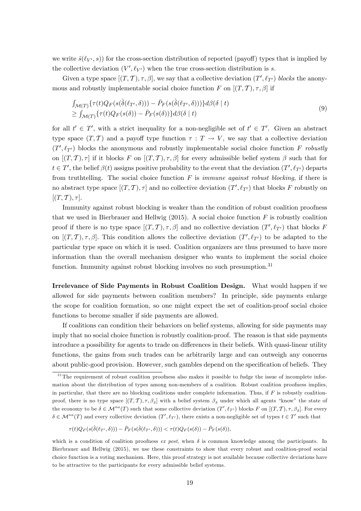we write  $\hat{s}(\ell_{V}, s)$  for the cross-section distribution of reported (payoff) types that is implied by the collective deviation  $(V', \ell_{V'})$  when the true cross-section distribution is s.

Given a type space  $[(T, \mathcal{T}), \tau, \beta]$ , we say that a collective deviation  $(T', \ell_{T'})$  blocks the anonymous and robustly implementable social choice function F on  $[(T, T), \tau, \beta]$  if

$$
\int_{\mathcal{M}(T)} \{\tau(t)Q_F(s(\hat{\delta}(\ell_{T'},\delta))) - \bar{P}_F(s(\hat{\delta}(\ell_{T'},\delta)))\} d\beta(\delta \mid t) \geq \int_{\mathcal{M}(T)} \{\tau(t)Q_F(s(\delta)) - \bar{P}_F(s(\delta))\} d\beta(\delta \mid t)
$$
\n(9)

for all  $t' \in T'$ , with a strict inequality for a non-negligible set of  $t' \in T'$ . Given an abstract type space  $(T, \mathcal{T})$  and a payoff type function  $\tau : T \to V$ , we say that a collective deviation  $(T', \ell_{T'})$  blocks the anonymous and robustly implementable social choice function F robustly on  $[(T, \mathcal{T}), \tau]$  if it blocks F on  $[(T, \mathcal{T}), \tau, \beta]$  for every admissible belief system  $\beta$  such that for  $t \in T'$ , the belief  $\beta(t)$  assigns positive probability to the event that the deviation  $(T', \ell_{T'})$  departs from truthtelling. The social choice function  $F$  is *immune against robust blocking*, if there is no abstract type space  $[(T, \mathcal{T}), \tau]$  and no collective deviation  $(T', \ell_{T'})$  that blocks F robustly on  $[(T, T), \tau].$ 

Immunity against robust blocking is weaker than the condition of robust coalition proofness that we used in Bierbrauer and Hellwig  $(2015)$ . A social choice function F is robustly coalition proof if there is no type space  $[(T, \mathcal{T}), \tau, \beta]$  and no collective deviation  $(T', \ell_{T'})$  that blocks F on  $[(T, \mathcal{T}), \tau, \beta]$ . This condition allows the collective deviation  $(T', \ell_{T'})$  to be adapted to the particular type space on which it is used. Coalition organizers are thus presumed to have more information than the overall mechanism designer who wants to implement the social choice function. Immunity against robust blocking involves no such presumption.<sup>31</sup>

Irrelevance of Side Payments in Robust Coalition Design. What would happen if we allowed for side payments between coalition members? In principle, side payments enlarge the scope for coalition formation, so one might expect the set of coalition-proof social choice functions to become smaller if side payments are allowed.

If coalitions can condition their behaviors on belief systems, allowing for side payments may imply that no social choice function is robustly coalition-proof. The reason is that side payments introduce a possibility for agents to trade on differences in their beliefs. With quasi-linear utility functions, the gains from such trades can be arbitrarily large and can outweigh any concerns about public-good provision. However, such gambles depend on the specification of beliefs. They

$$
\tau(t)Q_F(s(\hat{\delta}(\ell_{T'},\delta))) - \bar{P}_F(s(\hat{\delta}(\ell_{T'},\delta))) < \tau(t)Q_F(s(\delta)) - \bar{P}_F(s(\delta)),
$$

<sup>&</sup>lt;sup>31</sup>The requirement of robust coalition proofness also makes it possible to fudge the issue of incomplete information about the distribution of types among non-members of a coalition. Robust coalition proofness implies, in particular, that there are no blocking coalitions under complete information. Thus, if  $F$  is robustly coalitionproof, there is no type space  $[(T, \mathcal{T}), \tau, \beta_{\delta}]$  with a belief system  $\beta_{\delta}$  under which all agents "know" the state of the economy to be  $\delta \in \mathcal{M}^{na}(T)$  such that some collective deviation  $(T', \ell_{T'})$  blocks F on  $[(T, \mathcal{T}), \tau, \beta_{\delta}]$ . For every  $\delta \in \mathcal{M}^{na}(T)$  and every collective deviation  $(T', \ell_{T'})$ , there exists a non-negligible set of types  $t \in T'$  such that

which is a condition of coalition proofness ex post, when  $\delta$  is common knowledge among the participants. In Bierbrauer and Hellwig (2015), we use these constraints to show that every robust and coalition-proof social choice function is a voting mechanism. Here, this proof strategy is not available because collective deviations have to be attractive to the participants for every admissible belief systems.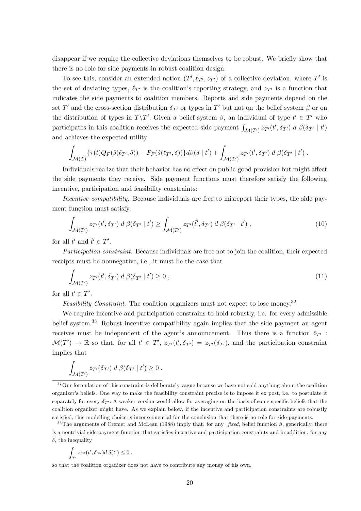disappear if we require the collective deviations themselves to be robust. We briefly show that there is no role for side payments in robust coalition design.

To see this, consider an extended notion  $(T', \ell_{T'}, z_{T'})$  of a collective deviation, where  $T'$  is the set of deviating types,  $\ell_{T'}$  is the coalition's reporting strategy, and  $z_{T'}$  is a function that indicates the side payments to coalition members. Reports and side payments depend on the set T' and the cross-section distribution  $\delta_{T'}$  or types in T' but not on the belief system  $\beta$  or on the distribution of types in  $T\T'$ . Given a belief system  $\beta$ , an individual of type  $t' \in T'$  who participates in this coalition receives the expected side payment  $\int_{\mathcal{M}(T')}\bar{z}_{T'}(t',\delta_{T'}) d\beta(\delta_{T'} | t')$ and achieves the expected utility

$$
\int_{\mathcal{M}(T)} \{ \tau(t) Q_F(\hat{s}(\ell_{T'}, \delta)) - \bar{P}_F(\hat{s}(\ell_{T'}, \delta)) \} d\beta(\delta \mid t') + \int_{\mathcal{M}(T')} z_{T'}(t', \delta_{T'}) d\beta(\delta_{T'} \mid t') .
$$

Individuals realize that their behavior has no effect on public-good provision but might affect the side payments they receive. Side payment functions must therefore satisfy the following incentive, participation and feasibility constraints:

Incentive compatibility. Because individuals are free to misreport their types, the side payment function must satisfy,

$$
\int_{\mathcal{M}(T')} z_{T'}(t', \delta_{T'}) d\beta(\delta_{T'} | t') \ge \int_{\mathcal{M}(T')} z_{T'}(\hat{t}', \delta_{T'}) d\beta(\delta_{T'} | t'), \qquad (10)
$$

for all  $t'$  and  $\hat{t}' \in T'$ .

Participation constraint. Because individuals are free not to join the coalition, their expected receipts must be nonnegative, i.e., it must be the case that

$$
\int_{\mathcal{M}(T')} z_{T'}(t', \delta_{T'}) d\beta(\delta_{T'} | t') \ge 0 , \qquad (11)
$$

for all  $t' \in T'$ .

Feasibility Constraint. The coalition organizers must not expect to lose money.<sup>32</sup>

We require incentive and participation constrains to hold robustly, i.e. for every admissible belief system.<sup>33</sup> Robust incentive compatibility again implies that the side payment an agent receives must be independent of the agent's announcement. Thus there is a function  $\bar{z}_{T}$  :  $\mathcal{M}(T') \to \mathbb{R}$  so that, for all  $t' \in T'$ ,  $z_{T'}(t', \delta_{T'}) = \bar{z}_{T'}(\delta_{T'})$ , and the participation constraint implies that

$$
\int_{\mathcal{M}(T')} \bar{z}_{T'}(\delta_{T'}) d\beta(\delta_{T'} | t') \geq 0.
$$

$$
\int_{T'} z_{T'}(t',\delta_{T'})d\ \delta(t')\leq 0\ ,
$$

so that the coalition organizer does not have to contribute any money of his own.

<sup>&</sup>lt;sup>32</sup>Our formulation of this constraint is deliberately vague because we have not said anything about the coalition organizerís beliefs. One way to make the feasibility constraint precise is to impose it ex post, i.e. to postulate it separately for every  $\delta_{T'}$ . A weaker version would allow for averaging on the basis of some specific beliefs that the coalition organizer might have. As we explain below, if the incentive and participation constraints are robustly satisfied, this modelling choice is inconsequential for the conclusion that there is no role for side payments.

<sup>&</sup>lt;sup>33</sup>The arguments of Crémer and McLean (1988) imply that, for any *fixed*, belief function  $\beta$ , generically, there is a nontrivial side payment function that satisfies incentive and participation constraints and in addition, for any  $\delta$ , the inequality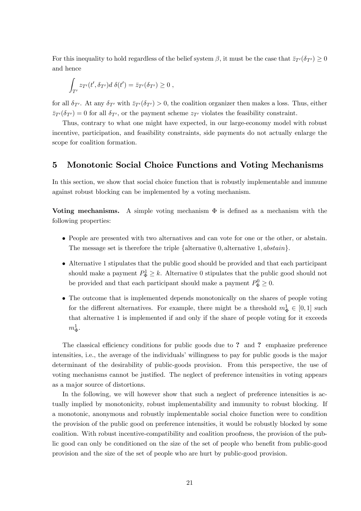For this inequality to hold regardless of the belief system  $\beta$ , it must be the case that  $\bar{z}_{T}(\delta_{T}) \geq 0$ and hence

$$
\int_{T'} z_{T'}(t', \delta_{T'}) d\,\delta(t') = \bar{z}_{T'}(\delta_{T'}) \geq 0,
$$

for all  $\delta_{T}$ . At any  $\delta_{T}$  with  $\bar{z}_{T}(\delta_{T}) > 0$ , the coalition organizer then makes a loss. Thus, either  $\bar{z}_{T}(\delta_{T}) = 0$  for all  $\delta_{T}$ , or the payment scheme  $z_{T}$  violates the feasibility constraint.

Thus, contrary to what one might have expected, in our large-economy model with robust incentive, participation, and feasibility constraints, side payments do not actually enlarge the scope for coalition formation.

## 5 Monotonic Social Choice Functions and Voting Mechanisms

In this section, we show that social choice function that is robustly implementable and immune against robust blocking can be implemented by a voting mechanism.

Voting mechanisms. A simple voting mechanism  $\Phi$  is defined as a mechanism with the following properties:

- People are presented with two alternatives and can vote for one or the other, or abstain. The message set is therefore the triple  $\{\text{alternative } 0, \text{alternative } 1, \text{abstain}\}.$
- Alternative 1 stipulates that the public good should be provided and that each participant should make a payment  $P_{\Phi}^1 \geq k$ . Alternative 0 stipulates that the public good should not be provided and that each participant should make a payment  $P_{\Phi}^0 \geq 0$ .
- The outcome that is implemented depends monotonically on the shares of people voting for the different alternatives. For example, there might be a threshold  $m_{\Phi}^1 \in [0,1]$  such that alternative 1 is implemented if and only if the share of people voting for it exceeds  $m_{\Phi}^1$ .

The classical efficiency conditions for public goods due to ? and ? emphasize preference intensities, i.e., the average of the individuals' willingness to pay for public goods is the major determinant of the desirability of public-goods provision. From this perspective, the use of voting mechanisms cannot be justified. The neglect of preference intensities in voting appears as a major source of distortions.

In the following, we will however show that such a neglect of preference intensities is actually implied by monotonicity, robust implementability and immunity to robust blocking. If a monotonic, anonymous and robustly implementable social choice function were to condition the provision of the public good on preference intensities, it would be robustly blocked by some coalition. With robust incentive-compatibility and coalition proofness, the provision of the public good can only be conditioned on the size of the set of people who benefit from public-good provision and the size of the set of people who are hurt by public-good provision.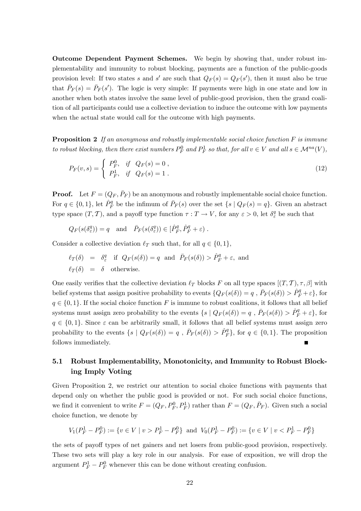Outcome Dependent Payment Schemes. We begin by showing that, under robust implementability and immunity to robust blocking, payments are a function of the public-goods provision level: If two states s and s' are such that  $Q_F(s) = Q_F(s')$ , then it must also be true that  $\bar{P}_F(s) = \bar{P}_F(s')$ . The logic is very simple: If payments were high in one state and low in another when both states involve the same level of public-good provision, then the grand coalition of all participants could use a collective deviation to induce the outcome with low payments when the actual state would call for the outcome with high payments.

**Proposition 2** If an anonymous and robustly implementable social choice function  $F$  is immune to robust blocking, then there exist numbers  $P_F^0$  and  $P_F^1$  so that, for all  $v \in V$  and all  $s \in \mathcal{M}^{na}(V)$ ,

$$
P_F(v,s) = \begin{cases} P_F^0, & \text{if } Q_F(s) = 0, \\ P_F^1, & \text{if } Q_F(s) = 1. \end{cases}
$$
 (12)

**Proof.** Let  $F = (Q_F, \bar{P}_F)$  be an anonymous and robustly implementable social choice function. For  $q \in \{0,1\}$ , let  $\hat{P}^q_F$  be the infimum of  $\bar{P}_F(s)$  over the set  $\{s \mid Q_F(s) = q\}$ . Given an abstract type space  $(T, \mathcal{T})$ , and a payoff type function  $\tau : T \to V$ , for any  $\varepsilon > 0$ , let  $\delta_{\varepsilon}^q$  be such that

$$
Q_F(s(\delta^q_\varepsilon)) = q
$$
 and  $\bar{P}_F(s(\delta^q_\varepsilon)) \in [\hat{P}_F^q, \hat{P}_F^q + \varepsilon)$ .

Consider a collective deviation  $\ell_T$  such that, for all  $q \in \{0, 1\}$ ,

$$
\ell_T(\delta) = \delta_{\varepsilon}^q \text{ if } Q_F(s(\delta)) = q \text{ and } \bar{P}_F(s(\delta)) > \hat{P}_F^q + \varepsilon, \text{ and}
$$
  

$$
\ell_T(\delta) = \delta \text{ otherwise.}
$$

One easily verifies that the collective deviation  $\ell_T$  blocks F on all type spaces  $[(T, \mathcal{T}), \tau, \beta]$  with belief systems that assign positive probability to events  $\{Q_F(s(\delta)) = q$ ,  $\bar{P}_F(s(\delta)) > \hat{P}^q_F + \varepsilon\}$ , for  $q \in \{0, 1\}$ . If the social choice function F is immune to robust coalitions, it follows that all belief systems must assign zero probability to the events  $\{s \mid Q_F(s(\delta)) = q, \overline{P}_F(s(\delta)) > \hat{P}^q_F + \varepsilon\}$ , for  $q \in \{0, 1\}$ . Since  $\varepsilon$  can be arbitrarily small, it follows that all belief systems must assign zero probability to the events  $\{s \mid Q_F(s(\delta)) = q, \overline{P}_F(s(\delta)) > \hat{P}_F^q\}$ , for  $q \in \{0, 1\}$ . The proposition follows immediately.

## 5.1 Robust Implementability, Monotonicity, and Immunity to Robust Blocking Imply Voting

Given Proposition 2, we restrict our attention to social choice functions with payments that depend only on whether the public good is provided or not. For such social choice functions, we find it convenient to write  $F = (Q_F, P_F^0, P_F^1)$  rather than  $F = (Q_F, \bar{P}_F)$ . Given such a social choice function, we denote by

$$
V_1(P_F^1 - P_F^0) := \{ v \in V \mid v > P_F^1 - P_F^0 \} \text{ and } V_0(P_F^1 - P_F^0) := \{ v \in V \mid v < P_F^1 - P_F^0 \}
$$

the sets of payoff types of net gainers and net losers from public-good provision, respectively. These two sets will play a key role in our analysis. For ease of exposition, we will drop the argument  $P_F^1 - P_F^0$  whenever this can be done without creating confusion.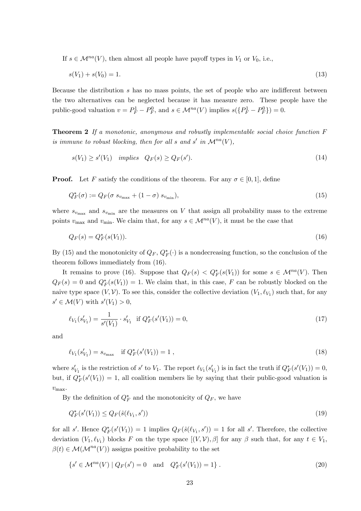If  $s \in \mathcal{M}^{na}(V)$ , then almost all people have payoff types in  $V_1$  or  $V_0$ , i.e.,

$$
s(V_1) + s(V_0) = 1.
$$
\n(13)

Because the distribution  $s$  has no mass points, the set of people who are indifferent between the two alternatives can be neglected because it has measure zero. These people have the public-good valuation  $v = P_F^1 - P_F^0$ , and  $s \in \mathcal{M}^{na}(V)$  implies  $s(\lbrace P_F^1 - P_F^0 \rbrace) = 0$ .

Theorem 2 If a monotonic, anonymous and robustly implementable social choice function F is immune to robust blocking, then for all s and s' in  $\mathcal{M}^{na}(V)$ ,

$$
s(V_1) \ge s'(V_1) \quad implies \quad Q_F(s) \ge Q_F(s'). \tag{14}
$$

**Proof.** Let F satisfy the conditions of the theorem. For any  $\sigma \in [0, 1]$ , define

$$
Q_F^*(\sigma) := Q_F(\sigma \ s_{v_{\text{max}}} + (1 - \sigma) \ s_{v_{\text{min}}}), \tag{15}
$$

where  $s_{v_{\text{max}}}$  and  $s_{v_{\text{min}}}$  are the measures on V that assign all probability mass to the extreme points  $v_{\text{max}}$  and  $v_{\text{min}}$ . We claim that, for any  $s \in \mathcal{M}^{na}(V)$ , it must be the case that

$$
Q_F(s) = Q_F^*(s(V_1)).
$$
\n(16)

By (15) and the monotonicity of  $Q_F$ ,  $Q_F^*(\cdot)$  is a nondecreasing function, so the conclusion of the theorem follows immediately from (16).

It remains to prove (16). Suppose that  $Q_F(s) < Q_F^*(s(V_1))$  for some  $s \in \mathcal{M}^{na}(V)$ . Then  $Q_F(s) = 0$  and  $Q_F^*(s(V_1)) = 1$ . We claim that, in this case, F can be robustly blocked on the naive type space  $(V, V)$ . To see this, consider the collective deviation  $(V_1, \ell_{V_1})$  such that, for any  $s' \in \mathcal{M}(V)$  with  $s'(V_1) > 0$ ,

$$
\ell_{V_1}(s'_{V_1}) = \frac{1}{s'(V_1)} \cdot s'_{V_1} \text{ if } Q_F^*(s'(V_1)) = 0,
$$
\n(17)

and

$$
\ell_{V_1}(s'_{V_1}) = s_{v_{\text{max}}} \quad \text{if } Q_F^*(s'(V_1)) = 1 , \tag{18}
$$

where  $s'_{V_1}$  is the restriction of s' to  $V_1$ . The report  $\ell_{V_1}(s'_{V_1})$  is in fact the truth if  $Q_F^*(s'(V_1)) = 0$ , but, if  $Q_F^*(s'(V_1)) = 1$ , all coalition members lie by saying that their public-good valuation is  $v_{\text{max}}$ .

By the definition of  $Q_F^*$  and the monotonicity of  $Q_F$ , we have

$$
Q_F^*(s'(V_1)) \le Q_F(\hat{s}(\ell_{V_1}, s')) \tag{19}
$$

for all s'. Hence  $Q_F^*(s'(V_1)) = 1$  implies  $Q_F(\hat{s}(\ell_{V_1}, s')) = 1$  for all s'. Therefore, the collective deviation  $(V_1, \ell_{V_1})$  blocks F on the type space  $[(V, V), \beta]$  for any  $\beta$  such that, for any  $t \in V_1$ ,  $\beta(t) \in \mathcal{M}(\mathcal{M}^{na}(V))$  assigns positive probability to the set

$$
\{s' \in \mathcal{M}^{na}(V) \mid Q_F(s') = 0 \quad \text{and} \quad Q_F^*(s'(V_1)) = 1\}.
$$
\n(20)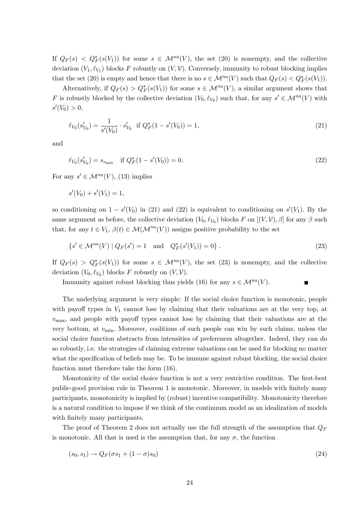If  $Q_F(s) < Q_F^*(s(V_1))$  for some  $s \in \mathcal{M}^{na}(V)$ , the set (20) is nonempty, and the collective deviation  $(V_1, \ell_{V_1})$  blocks F robustly on  $(V, V)$ . Conversely, immunity to robust blocking implies that the set (20) is empty and hence that there is no  $s \in \mathcal{M}^{na}(V)$  such that  $Q_F(s) < Q_F^*(s(V_1))$ .

Alternatively, if  $Q_F(s) > Q_F^*(s(V_1))$  for some  $s \in \mathcal{M}^{na}(V)$ , a similar argument shows that F is robustly blocked by the collective deviation  $(V_0, \ell_{V_0})$  such that, for any  $s' \in \mathcal{M}^{na}(V)$  with  $s'(V_0) > 0,$ 

$$
\ell_{V_0}(s'_{V_0}) = \frac{1}{s'(V_0)} \cdot s'_{V_0} \text{ if } Q_F^*(1 - s'(V_0)) = 1,
$$
\n(21)

and

$$
\ell_{V_0}(s'_{V_0}) = s_{v_{\min}} \quad \text{if } Q_F^*(1 - s'(V_0)) = 0. \tag{22}
$$

For any  $s' \in \mathcal{M}^{na}(V)$ , (13) implies

$$
s'(V_0) + s'(V_1) = 1,
$$

so conditioning on  $1 - s'(V_0)$  in (21) and (22) is equivalent to conditioning on  $s'(V_1)$ . By the same argument as before, the collective deviation  $(V_0, \ell_{V_0})$  blocks  $F$  on  $[(V, V), \beta]$  for any  $\beta$  such that, for any  $t \in V_1$ ,  $\beta(t) \in \mathcal{M}(\mathcal{M}^{na}(V))$  assigns positive probability to the set

$$
\{s' \in \mathcal{M}^{na}(V) \mid Q_F(s') = 1 \quad \text{and} \quad Q_F^*(s'(V_1)) = 0\}.
$$
\n(23)

If  $Q_F(s) > Q_F^*(s(V_1))$  for some  $s \in \mathcal{M}^{na}(V)$ , the set (23) is nonempty, and the collective deviation  $(V_0, \ell_{V_0})$  blocks F robustly on  $(V, V)$ .

Immunity against robust blocking thus yields (16) for any  $s \in \mathcal{M}^{na}(V)$ .

The underlying argument is very simple: If the social choice function is monotonic, people with payoff types in  $V_1$  cannot lose by claiming that their valuations are at the very top, at  $v_{\text{max}}$ , and people with payoff types cannot lose by claiming that their valuations are at the very bottom, at  $v_{\text{min}}$ . Moreover, coalitions of such people can win by such claims, unless the social choice function abstracts from intensities of preferences altogether. Indeed, they can do so robustly, i.e. the strategies of claiming extreme valuations can be used for blocking no matter what the specification of beliefs may be. To be immune against robust blocking, the social choice function must therefore take the form (16).

Monotonicity of the social choice function is not a very restrictive condition. The first-best public-good provision rule in Theorem 1 is monotonic. Moreover, in models with finitely many participants, monotonicity is implied by (robust) incentive compatibility. Monotonicity therefore is a natural condition to impose if we think of the continuum model as an idealization of models with finitely many participants.

The proof of Theorem 2 does not actually use the full strength of the assumption that  $Q_F$ is monotonic. All that is used is the assumption that, for any  $\sigma$ , the function

$$
(s_0, s_1) \rightarrow Q_F(\sigma s_1 + (1 - \sigma)s_0) \tag{24}
$$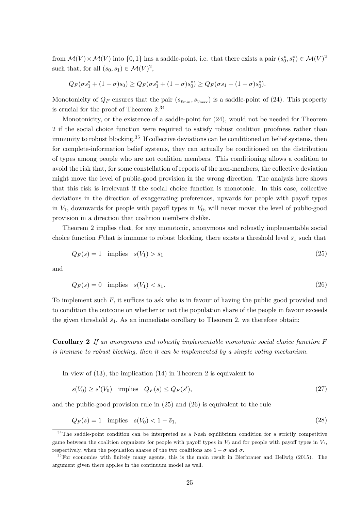from  $\mathcal{M}(V) \times \mathcal{M}(V)$  into  $\{0, 1\}$  has a saddle-point, i.e. that there exists a pair  $(s_0^*, s_1^*) \in \mathcal{M}(V)^2$ such that, for all  $(s_0, s_1) \in \mathcal{M}(V)^2$ ,

$$
Q_F(\sigma s_1^* + (1 - \sigma)s_0) \geq Q_F(\sigma s_1^* + (1 - \sigma)s_0^*) \geq Q_F(\sigma s_1 + (1 - \sigma)s_0^*).
$$

Monotonicity of  $Q_F$  ensures that the pair  $(s_{v_{\text{min}}}, s_{v_{\text{max}}})$  is a saddle-point of (24). This property is crucial for the proof of Theorem 2.<sup>34</sup>

Monotonicity, or the existence of a saddle-point for (24), would not be needed for Theorem 2 if the social choice function were required to satisfy robust coalition proofness rather than immunity to robust blocking.<sup>35</sup> If collective deviations can be conditioned on belief systems, then for complete-information belief systems, they can actually be conditioned on the distribution of types among people who are not coalition members. This conditioning allows a coalition to avoid the risk that, for some constellation of reports of the non-members, the collective deviation might move the level of public-good provision in the wrong direction. The analysis here shows that this risk is irrelevant if the social choice function is monotonic. In this case, collective deviations in the direction of exaggerating preferences, upwards for people with payoff types in  $V_1$ , downwards for people with payoff types in  $V_0$ , will never mover the level of public-good provision in a direction that coalition members dislike.

Theorem 2 implies that, for any monotonic, anonymous and robustly implementable social choice function Fthat is immune to robust blocking, there exists a threshold level  $\bar{s}_1$  such that

$$
Q_F(s) = 1 \quad \text{implies} \quad s(V_1) > \bar{s}_1 \tag{25}
$$

and

$$
Q_F(s) = 0 \quad \text{implies} \quad s(V_1) < \bar{s}_1. \tag{26}
$$

To implement such  $F$ , it suffices to ask who is in favour of having the public good provided and to condition the outcome on whether or not the population share of the people in favour exceeds the given threshold  $\bar{s}_1$ . As an immediate corollary to Theorem 2, we therefore obtain:

Corollary 2 If an anonymous and robustly implementable monotonic social choice function F is immune to robust blocking, then it can be implemented by a simple voting mechanism.

In view of (13), the implication (14) in Theorem 2 is equivalent to

$$
s(V_0) \ge s'(V_0) \quad \text{implies} \quad Q_F(s) \le Q_F(s'),\tag{27}
$$

and the public-good provision rule in (25) and (26) is equivalent to the rule

$$
Q_F(s) = 1 \quad \text{implies} \quad s(V_0) < 1 - \bar{s}_1,\tag{28}
$$

<sup>&</sup>lt;sup>34</sup>The saddle-point condition can be interpreted as a Nash equilibrium condition for a strictly competitive game between the coalition organizers for people with payoff types in  $V_0$  and for people with payoff types in  $V_1$ , respectively, when the population shares of the two coalitions are  $1 - \sigma$  and  $\sigma$ .

<sup>&</sup>lt;sup>35</sup>For economies with finitely many agents, this is the main result in Bierbrauer and Hellwig (2015). The argument given there applies in the continuum model as well.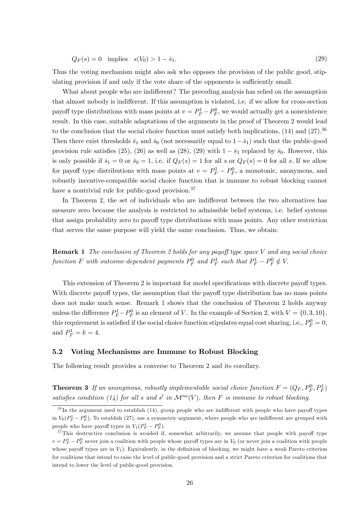$$
Q_F(s) = 0 \quad \text{implies} \quad s(V_0) > 1 - \bar{s}_1. \tag{29}
$$

Thus the voting mechanism might also ask who opposes the provision of the public good, stipulating provision if and only if the vote share of the opponents is sufficiently small.

What about people who are indifferent? The preceding analysis has relied on the assumption that almost nobody is indifferent. If this assumption is violated, i.e. if we allow for cross-section payoff type distributions with mass points at  $v = P_F^1 - P_F^0$ , we would actually get a nonexistence result. In this case, suitable adaptations of the arguments in the proof of Theorem 2 would lead to the conclusion that the social choice function must satisfy both implications,  $(14)$  and  $(27)$ .<sup>36</sup> Then there exist thresholds  $\bar{s}_1$  and  $\bar{s}_0$  (not necessarily equal to  $1-\bar{s}_1$ ) such that the public-good provision rule satisfies (25), (26) as well as (28), (29) with  $1 - \bar{s}_1$  replaced by  $\bar{s}_0$ . However, this is only possible if  $\bar{s}_1 = 0$  or  $\bar{s}_0 = 1$ , i.e. if  $Q_F(s) = 1$  for all s or  $Q_F(s) = 0$  for all s. If we allow for payoff type distributions with mass points at  $v = P_F^1 - P_F^0$ , a monotonic, anonymous, and robustly incentive-compatible social choice function that is immune to robust blocking cannot have a nontrivial rule for public-good provision.<sup>37</sup>

In Theorem 2, the set of individuals who are indifferent between the two alternatives has measure zero because the analysis is restricted to admissible belief systems, i.e. belief systems that assign probability zero to payoff type distributions with mass points. Any other restriction that serves the same purpose will yield the same conclusion. Thus, we obtain:

**Remark 1** The conclusion of Theorem 2 holds for any payoff type space V and any social choice function F with outcome-dependent payments  $P_F^0$  and  $P_F^1$  such that  $P_F^1 - P_F^0 \notin V$ .

This extension of Theorem 2 is important for model specifications with discrete payoff types. With discrete payoff types, the assumption that the payoff type distribution has no mass points does not make much sense. Remark 1 shows that the conclusion of Theorem 2 holds anyway unless the difference  $P_F^1 - P_F^0$  is an element of V. In the example of Section 2, with  $V = \{0, 3, 10\},\$ this requirement is satisfied if the social choice function stipulates equal cost sharing, i.e.,  $P_F^0 = 0$ , and  $P_F^1 = k = 4$ .

#### 5.2 Voting Mechanisms are Immune to Robust Blocking

The following result provides a converse to Theorem 2 and its corollary.

**Theorem 3** If an anonymous, robustly implementable social choice function  $F = (Q_F, P_F^0, P_F^1)$ satisfies condition (14) for all s and s' in  $\mathcal{M}^{na}(V)$ , then F is immune to robust blocking.

 $36$  In the argument used to establish (14), group people who are indifferent with people who have payoff types in  $V_0(P_F^1 - P_F^0)$ . To establish (27), use a symmetric argument, where people who are indifferent are grouped with people who have payoff types in  $V_1(P_F^1 - P_F^0)$ .

 $37$ This destructive conclusion is avoided if, somewhat arbitrarily, we assume that people with payoff type  $v = P_F^1 - P_F^0$  never join a coalition with people whose payoff types are in  $V_0$  (or never join a coalition with people whose payoff types are in  $V_1$ ). Equivalently, in the definition of blocking, we might have a weak Pareto criterion for coalitions that intend to raise the level of public-good provision and a strict Pareto criterion for coalitions that intend to lower the level of public-good provision.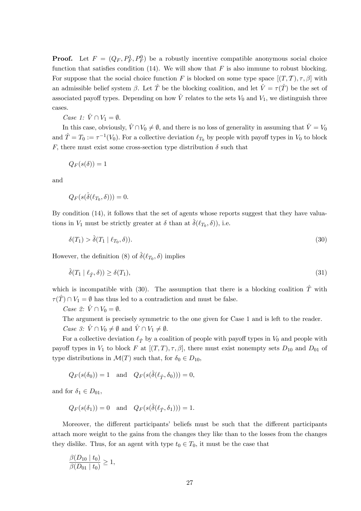**Proof.** Let  $F = (Q_F, P_F^1, P_F^0)$  be a robustly incentive compatible anonymous social choice function that satisfies condition (14). We will show that F is also immune to robust blocking. For suppose that the social choice function F is blocked on some type space  $[(T, \mathcal{T}), \tau, \beta]$  with an admissible belief system  $\beta$ . Let  $\hat{T}$  be the blocking coalition, and let  $\hat{V} = \tau(\hat{T})$  be the set of associated payoff types. Depending on how  $\hat{V}$  relates to the sets  $V_0$  and  $V_1$ , we distinguish three cases.

*Case 1:*  $\hat{V} \cap V_1 = \emptyset$ .

In this case, obviously,  $\hat{V} \cap V_0 \neq \emptyset$ , and there is no loss of generality in assuming that  $\hat{V} = V_0$ and  $\hat{T} = T_0 := \tau^{-1}(V_0)$ . For a collective deviation  $\ell_{T_0}$  by people with payoff types in  $V_0$  to block F, there must exist some cross-section type distribution  $\delta$  such that

 $Q_F(s(\delta)) = 1$ 

and

$$
Q_F(s(\hat{\delta}(\ell_{T_0},\delta)))=0.
$$

By condition (14), it follows that the set of agents whose reports suggest that they have valuations in  $V_1$  must be strictly greater at  $\delta$  than at  $\hat{\delta}(\ell_{T_0}, \delta)$ , i.e.

$$
\delta(T_1) > \hat{\delta}(T_1 \mid \ell_{T_0}, \delta)). \tag{30}
$$

However, the definition (8) of  $\hat{\delta}(\ell_{T_0}, \delta)$  implies

$$
\hat{\delta}(T_1 \mid \ell_{\hat{T}}, \delta)) \ge \delta(T_1),\tag{31}
$$

which is incompatible with (30). The assumption that there is a blocking coalition  $\hat{T}$  with  $\tau(\hat{T}) \cap V_1 = \emptyset$  has thus led to a contradiction and must be false.

Case 2:  $\hat{V} \cap V_0 = \emptyset$ .

The argument is precisely symmetric to the one given for Case 1 and is left to the reader. *Case 3:*  $\hat{V} \cap V_0 \neq \emptyset$  and  $\hat{V} \cap V_1 \neq \emptyset$ .

For a collective deviation  $\ell_{\hat{T}}$  by a coalition of people with payoff types in  $V_0$  and people with payoff types in  $V_1$  to block F at  $[(T, T), \tau, \beta]$ , there must exist nonempty sets  $D_{10}$  and  $D_{01}$  of type distributions in  $\mathcal{M}(T)$  such that, for  $\delta_0 \in D_{10}$ ,

 $Q_F(s(\delta_0)) = 1$  and  $Q_F(s(\hat{\delta}(\ell_{\hat{T}}, \delta_0))) = 0,$ 

and for  $\delta_1 \in D_{01}$ ,

$$
Q_F(s(\delta_1)) = 0
$$
 and  $Q_F(s(\hat{\delta}(\ell_{\hat{T}}, \delta_1))) = 1.$ 

Moreover, the different participants' beliefs must be such that the different participants attach more weight to the gains from the changes they like than to the losses from the changes they dislike. Thus, for an agent with type  $t_0 \in T_0$ , it must be the case that

$$
\frac{\beta(D_{10} \mid t_0)}{\beta(D_{01} \mid t_0)} \ge 1,
$$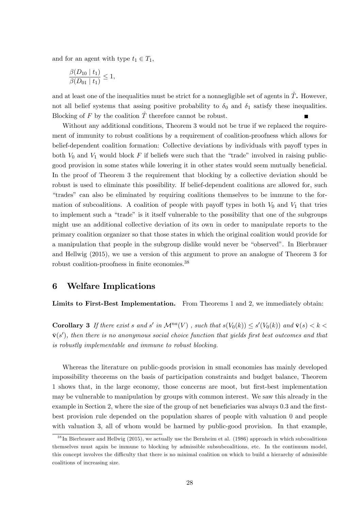and for an agent with type  $t_1 \in T_1$ ,

$$
\frac{\beta(D_{10} \mid t_1)}{\beta(D_{01} \mid t_1)} \leq 1,
$$

and at least one of the inequalities must be strict for a nonnegligible set of agents in  $\hat{T}$ . However, not all belief systems that assing positive probability to  $\delta_0$  and  $\delta_1$  satisfy these inequalities. Blocking of F by the coalition  $\hat{T}$  therefore cannot be robust.

Without any additional conditions, Theorem 3 would not be true if we replaced the requirement of immunity to robust coalitions by a requirement of coalition-proofness which allows for belief-dependent coalition formation: Collective deviations by individuals with payoff types in both  $V_0$  and  $V_1$  would block F if beliefs were such that the "trade" involved in raising publicgood provision in some states while lowering it in other states would seem mutually beneficial. In the proof of Theorem 3 the requirement that blocking by a collective deviation should be robust is used to eliminate this possibility. If belief-dependent coalitions are allowed for, such ìtradesî can also be eliminated by requiring coalitions themselves to be immune to the formation of subcoalitions. A coalition of people with payoff types in both  $V_0$  and  $V_1$  that tries to implement such a "trade" is it itself vulnerable to the possibility that one of the subgroups might use an additional collective deviation of its own in order to manipulate reports to the primary coalition organizer so that those states in which the original coalition would provide for a manipulation that people in the subgroup dislike would never be "observed". In Bierbrauer and Hellwig (2015), we use a version of this argument to prove an analogue of Theorem 3 for robust coalition-proofness in finite economies.<sup>38</sup>

## 6 Welfare Implications

Limits to First-Best Implementation. From Theorems 1 and 2, we immediately obtain:

**Corollary 3** If there exist s and s' in  $\mathcal{M}^{na}(V)$ , such that  $s(V_0(k)) \leq s'(V_0(k))$  and  $\bar{\mathbf{v}}(s) < k <$  $\bar{\mathbf{v}}(s')$ , then there is no anonymous social choice function that yields first best outcomes and that is robustly implementable and immune to robust blocking.

Whereas the literature on public-goods provision in small economies has mainly developed impossibility theorems on the basis of participation constraints and budget balance, Theorem 1 shows that, in the large economy, those concerns are moot, but Örst-best implementation may be vulnerable to manipulation by groups with common interest. We saw this already in the example in Section 2, where the size of the group of net beneficiaries was always 0.3 and the firstbest provision rule depended on the population shares of people with valuation 0 and people with valuation 3, all of whom would be harmed by public-good provision. In that example,

<sup>38</sup> In Bierbrauer and Hellwig (2015), we actually use the Bernheim et al. (1986) approach in which subcoalitions themselves must again be immune to blocking by admissible subsubcoalitions, etc. In the continuum model, this concept involves the difficulty that there is no minimal coalition on which to build a hierarchy of admissible coalitions of increasing size.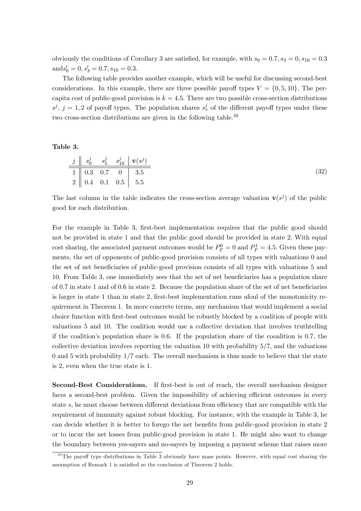obviously the conditions of Corollary 3 are satisfied, for example, with  $s_0 = 0.7$ ,  $s_3 = 0$ ,  $s_{10} = 0.3$  $\text{and} s_0' = 0, s_3' = 0.7, s_{10} = 0.3.$ 

The following table provides another example, which will be useful for discussing second-best considerations. In this example, there are three possible payoff types  $V = \{0, 5, 10\}$ . The percapita cost of public-good provision is  $k = 4.5$ . There are two possible cross-section distributions  $s^j$ ,  $j = 1, 2$  of payoff types. The population shares  $s_v^j$  of the different payoff types under these two cross-section distributions are given in the following table.<sup>39</sup>

#### Table 3.

$$
\begin{array}{c|ccccc}\nj & s_0^j & s_5^j & s_{10}^j & \bar{\mathbf{v}}(s^j) \\
\hline\n1 & 0.3 & 0.7 & 0 & 3.5 \\
2 & 0.4 & 0.1 & 0.5 & 5.5\n\end{array}
$$
\n(32)

The last column in the table indicates the cross-section average valuation  $\bar{\mathbf{v}}(s^j)$  of the public good for each distribution:

For the example in Table 3, first-best implementation requires that the public good should not be provided in state 1 and that the public good should be provided in state 2: With equal cost sharing, the associated payment outcomes would be  $P_F^0 = 0$  and  $P_F^1 = 4.5$ . Given these payments, the set of opponents of public-good provision consists of all types with valuations 0 and the set of net beneficiaries of public-good provision consists of all types with valuations 5 and 10. From Table 3, one immediately sees that the set of net beneficiaries has a population share of  $0.7$  in state 1 and of  $0.6$  in state 2. Because the population share of the set of net beneficiaries is larger in state 1 than in state 2, first-best implementation runs afoul of the monotonicity requirement in Theorem 1. In more concrete terms, any mechanism that would implement a social choice function with Örst-best outcomes would be robustly blocked by a coalition of people with valuations 5 and 10. The coalition would use a collective deviation that involves truthtelling if the coalition's population share is  $0.6$ . If the population share of the cooalition is 0.7, the collective deviation involves reporting the valuation 10 with probability 5/7, and the valuations 0 and 5 with probability 1/7 each. The overall mechanism is thus made to believe that the state is 2, even when the true state is 1.

Second-Best Considerations. If first-best is out of reach, the overall mechanism designer faces a second-best problem. Given the impossibility of achieving efficient outcomes in every state  $s$ , he must choose between different deviations from efficiency that are compatible with the requirement of immunity against robust blocking. For instance, with the example in Table 3, he can decide whether it is better to forego the net benefits from public-good provision in state 2 or to incur the net losses from public-good provision in state 1. He might also want to change the boundary between yes-sayers and no-sayers by imposing a payment scheme that raises more

 $\frac{39}{39}$ The payoff type distributions in Table 3 obviously have mass points. However, with equal cost sharing the assumption of Remark 1 is satisfied so the conclusion of Theorem 2 holds.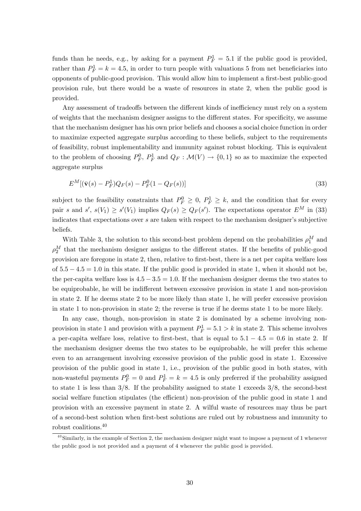funds than he needs, e.g., by asking for a payment  $P_F^1 = 5.1$  if the public good is provided, rather than  $P_F^1 = k = 4.5$ , in order to turn people with valuations 5 from net beneficiaries into opponents of public-good provision. This would allow him to implement a first-best public-good provision rule, but there would be a waste of resources in state 2, when the public good is provided.

Any assessment of tradeoffs between the different kinds of inefficiency must rely on a system of weights that the mechanism designer assigns to the different states. For specificity, we assume that the mechanism designer has his own prior beliefs and chooses a social choice function in order to maximize expected aggregate surplus according to these beliefs, subject to the requirements of feasibility, robust implementability and immunity against robust blocking. This is equivalent to the problem of choosing  $P_F^0$ ,  $P_F^1$  and  $Q_F : \mathcal{M}(V) \to \{0,1\}$  so as to maximize the expected aggregate surplus

$$
E^M[(\bar{\mathbf{v}}(s) - P_F^1)Q_F(s) - P_F^0(1 - Q_F(s))]
$$
\n(33)

subject to the feasibility constraints that  $P_F^0 \geq 0$ ,  $P_F^1 \geq k$ , and the condition that for every pair s and  $s'$ ,  $s(V_1) \geq s'(V_1)$  implies  $Q_F(s) \geq Q_F(s')$ . The expectations operator  $E^M$  in (33) indicates that expectations over  $s$  are taken with respect to the mechanism designer's subjective beliefs.

With Table 3, the solution to this second-best problem depend on the probabilities  $\rho_1^M$  and  $\rho_2^M$  that the mechanism designer assigns to the different states. If the benefits of public-good provision are foregone in state 2, then, relative to Örst-best, there is a net per capita welfare loss of  $5.5 - 4.5 = 1.0$  in this state. If the public good is provided in state 1, when it should not be, the per-capita welfare loss is  $4.5 - 3.5 = 1.0$ . If the mechanism designer deems the two states to be equiprobable, he will be indifferent between excessive provision in state 1 and non-provision in state 2. If he deems state 2 to be more likely than state 1, he will prefer excessive provision in state 1 to non-provision in state 2; the reverse is true if he deems state 1 to be more likely.

In any case, though, non-provision in state 2 is dominated by a scheme involving nonprovision in state 1 and provision with a payment  $P_F^1 = 5.1 > k$  in state 2. This scheme involves a per-capita welfare loss, relative to first-best, that is equal to  $5.1 - 4.5 = 0.6$  in state 2. If the mechanism designer deems the two states to be equiprobable, he will prefer this scheme even to an arrangement involving excessive provision of the public good in state 1. Excessive provision of the public good in state 1, i.e., provision of the public good in both states, with non-wasteful payments  $P_F^0 = 0$  and  $P_F^1 = k = 4.5$  is only preferred if the probability assigned to state 1 is less than  $3/8$ . If the probability assigned to state 1 exceeds  $3/8$ , the second-best social welfare function stipulates (the efficient) non-provision of the public good in state 1 and provision with an excessive payment in state 2. A wilful waste of resources may thus be part of a second-best solution when Örst-best solutions are ruled out by robustness and immunity to robust coalitions.<sup>40</sup>

<sup>&</sup>lt;sup>40</sup>Similarly, in the example of Section 2, the mechanism designer might want to impose a payment of 1 whenever the public good is not provided and a payment of 4 whenever the public good is provided.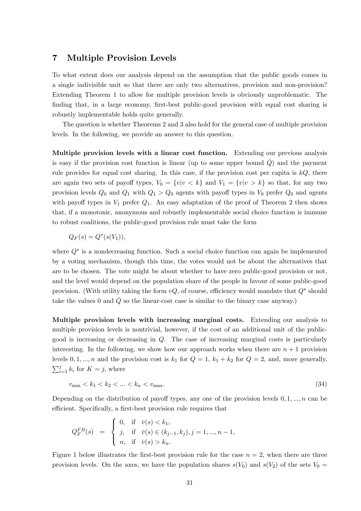### 7 Multiple Provision Levels

To what extent does our analysis depend on the assumption that the public goods comes in a single indivisible unit so that there are only two alternatives, provision and non-provision? Extending Theorem 1 to allow for multiple provision levels is obviously unproblematic. The finding that, in a large economy, first-best public-good provision with equal cost sharing is robustly implementable holds quite generally.

The question is whether Theorems 2 and 3 also hold for the general case of multiple provision levels. In the following, we provide an answer to this question.

Multiple provision levels with a linear cost function. Extending our previous analysis is easy if the provision cost function is linear (up to some upper bound  $Q$ ) and the payment rule provides for equal cost sharing. In this case, if the provision cost per capita is  $kQ$ , there are again two sets of payoff types,  $V_0 = \{v|v \lt k\}$  and  $V_1 = \{v|v > k\}$  so that, for any two provision levels  $Q_0$  and  $Q_1$  with  $Q_1 > Q_0$  agents with payoff types in  $V_0$  prefer  $Q_0$  and agents with payoff types in  $V_1$  prefer  $Q_1$ . An easy adaptation of the proof of Theorem 2 then shows that, if a monotonic, anonymous and robustly implementable social choice function is immune to robust coalitions, the public-good provision rule must take the form

$$
Q_F(s) = Q^*(s(V_1)),
$$

where  $Q^*$  is a nondecreasing function. Such a social choice function can again be implemented by a voting mechanism, though this time, the votes would not be about the alternatives that are to be chosen. The vote might be about whether to have zero public-good provision or not, and the level would depend on the population share of the people in favour of some public-good provision. (With utility taking the form  $vQ$ , of course, efficiency would mandate that  $Q^*$  should take the values 0 and  $\overline{Q}$  so the linear-cost case is similar to the binary case anyway.)

Multiple provision levels with increasing marginal costs. Extending our analysis to multiple provision levels is nontrivial, however, if the cost of an additional unit of the publicgood is increasing or decreasing in Q. The case of increasing marginal costs is particularly interesting. In the following, we show how our approach works when there are  $n + 1$  provision levels  $0, 1, ..., n$  and the provision cost is  $k_1$  for  $Q = 1$ ,  $k_1 + k_2$  for  $Q = 2$ , and, more generally,  $\sum_{i=1}^{j} k_i$  for  $K = j$ , where

$$
v_{\min} < k_1 < k_2 < \dots < k_n < v_{\max}.\tag{34}
$$

Depending on the distribution of payoff types, any one of the provision levels  $0, 1, ..., n$  can be efficient. Specifically, a first-best provision rule requires that

$$
Q_F^{FB}(s) \quad = \quad \begin{cases} \ 0, & \text{if} \quad \bar{v}(s) < k_1, \\ \ j, & \text{if} \quad \bar{v}(s) \in (k_{j-1},k_j), j=1,...,n-1, \\ \ n, & \text{if} \quad \bar{v}(s) > k_n. \end{cases}
$$

Figure 1 below illustrates the first-best provision rule for the case  $n = 2$ , when there are three provision levels. On the axes, we have the population shares  $s(V_0)$  and  $s(V_2)$  of the sets  $V_0 =$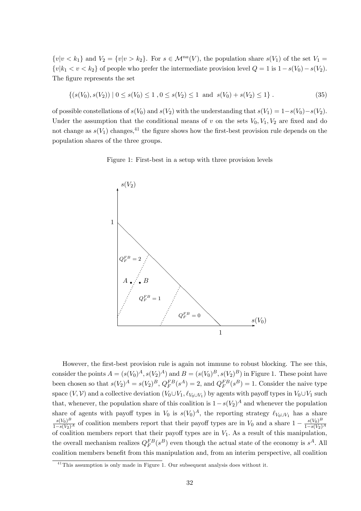$\{v|v < k_1\}$  and  $V_2 = \{v|v > k_2\}$ . For  $s \in \mathcal{M}^{na}(V)$ , the population share  $s(V_1)$  of the set  $V_1 =$  $\{v|k_1 < v < k_2\}$  of people who prefer the intermediate provision level  $Q = 1$  is  $1 - s(V_0) - s(V_2)$ . The figure represents the set

$$
\{(s(V_0), s(V_2)) \mid 0 \le s(V_0) \le 1, 0 \le s(V_2) \le 1 \text{ and } s(V_0) + s(V_2) \le 1\}.
$$
 (35)

of possible constellations of  $s(V_0)$  and  $s(V_2)$  with the understanding that  $s(V_1) = 1-s(V_0)-s(V_2)$ . Under the assumption that the conditional means of v on the sets  $V_0, V_1, V_2$  are fixed and do not change as  $s(V_1)$  changes,<sup>41</sup> the figure shows how the first-best provision rule depends on the population shares of the three groups.

Figure 1: First-best in a setup with three provision levels



However, the first-best provision rule is again not immune to robust blocking. The see this, consider the points  $A = (s(V_0)^A, s(V_2)^A)$  and  $B = (s(V_0)^B, s(V_2)^B)$  in Figure 1. These point have been chosen so that  $s(V_2)^A = s(V_2)^B$ ,  $Q_F^{FB}(s^A) = 2$ , and  $Q_F^{FB}(s^B) = 1$ . Consider the naive type space  $(V, V)$  and a collective deviation  $(V_0 \cup V_1, \ell_{V_0 \cup V_1})$  by agents with payoff types in  $V_0 \cup V_1$  such that, whenever, the population share of this coalition is  $1-s(V_2)^A$  and whenever the population share of agents with payoff types in  $V_0$  is  $s(V_0)^A$ , the reporting strategy  $\ell_{V_0\cup V_1}$  has a share  $\frac{s(V_0)^B}{1-s(V_2)^A}$  of coalition members report that their payoff types are in  $V_0$  and a share  $1 - \frac{s(V_0)^B}{1-s(V_2)}$  $\overline{1-s(V_2)^A}$ of coalition members report that their payoff types are in  $V_1$ . As a result of this manipulation, the overall mechanism realizes  $Q_F^{FB}(s^B)$  even though the actual state of the economy is  $s^A$ . All coalition members benefit from this manipulation and, from an interim perspective, all coalition

<sup>&</sup>lt;sup>41</sup>This assumption is only made in Figure 1. Our subsequent analysis does without it.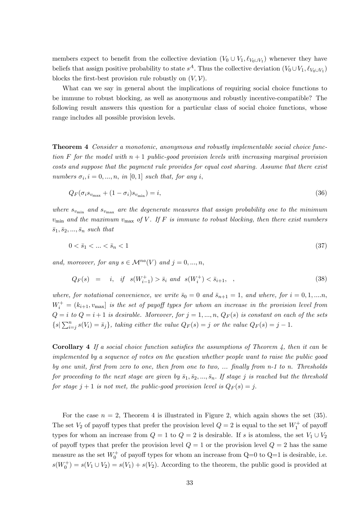members expect to benefit from the collective deviation  $(V_0 \cup V_1, \ell_{V_0 \cup V_1})$  whenever they have beliefs that assign positive probability to state  $s^A$ . Thus the collective deviation  $(V_0 \cup V_1, \ell_{V_0 \cup V_1})$ blocks the first-best provision rule robustly on  $(V, V)$ .

What can we say in general about the implications of requiring social choice functions to be immune to robust blocking, as well as anonymous and robustly incentive-compatible? The following result answers this question for a particular class of social choice functions, whose range includes all possible provision levels.

Theorem 4 Consider a monotonic, anonymous and robustly implementable social choice function F for the model with  $n+1$  public-good provision levels with increasing marginal provision costs and suppose that the payment rule provides for equal cost sharing. Assume that there exist numbers  $\sigma_i$ ,  $i = 0, ..., n$ , in [0, 1] such that, for any i,

$$
Q_F(\sigma_i s_{v_{\text{max}}} + (1 - \sigma_i) s_{v_{\text{min}}}) = i,
$$
\n(36)

where  $s_{v_{\text{min}}}$  and  $s_{v_{\text{max}}}$  are the degenerate measures that assign probability one to the minimum  $v_{\text{min}}$  and the maximum  $v_{\text{max}}$  of V. If F is immune to robust blocking, then there exist numbers  $\bar{s}_1, \bar{s}_2, ..., \bar{s}_n$  such that

$$
0 < \bar{s}_1 < \dots < \bar{s}_n < 1\tag{37}
$$

and, moreover, for any  $s \in \mathcal{M}^{na}(V)$  and  $j = 0, ..., n$ ,

$$
Q_F(s) = i, \quad \text{if} \quad s(W_{i-1}^+) > \bar{s}_i \quad \text{and} \quad s(W_i^+) < \bar{s}_{i+1}, \quad , \tag{38}
$$

where, for notational convenience, we write  $\bar{s}_0 = 0$  and  $\bar{s}_{n+1} = 1$ , and where, for  $i = 0, 1, \dots, n$ ,  $W_i^+ = (k_{i+1}, v_{\text{max}}]$  is the set of payoff types for whom an increase in the provision level from  $Q = i \ to \ Q = i + 1 \ is \ desirable. Moreover, for \ j = 1, ..., n, \ Q_F(s) \ is \ constant \ on \ each \ of \ the \ sets$  $\{s | \sum_{i=j}^{n} s(V_i) = \bar{s}_j\},$  taking either the value  $Q_F(s) = j$  or the value  $Q_F(s) = j - 1$ .

**Corollary 4** If a social choice function satisfies the assumptions of Theorem 4, then it can be implemented by a sequence of votes on the question whether people want to raise the public good by one unit, first from zero to one, then from one to two, ... finally from n-1 to n. Thresholds for proceeding to the next stage are given by  $\bar{s}_1, \bar{s}_2, ..., \bar{s}_n$ . If stage j is reached but the threshold for stage  $j + 1$  is not met, the public-good provision level is  $Q_F(s) = j$ .

For the case  $n = 2$ , Theorem 4 is illustrated in Figure 2, which again shows the set (35). The set  $V_2$  of payoff types that prefer the provision level  $Q = 2$  is equal to the set  $W_1^+$  of payoff types for whom an increase from  $Q = 1$  to  $Q = 2$  is desirable. If s is atomless, the set  $V_1 \cup V_2$ of payoff types that prefer the provision level  $Q = 1$  or the provision level  $Q = 2$  has the same measure as the set  $W_0^+$  of payoff types for whom an increase from  $Q=0$  to  $Q=1$  is desirable, i.e.  $s(W_0^+) = s(V_1 \cup V_2) = s(V_1) + s(V_2)$ . According to the theorem, the public good is provided at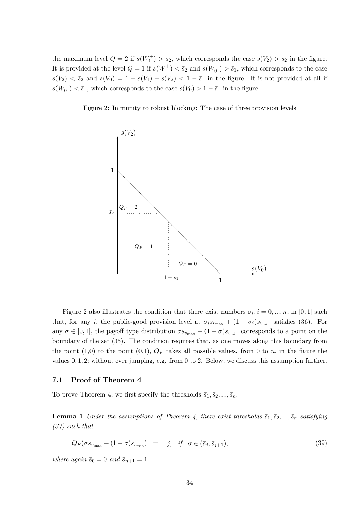the maximum level  $Q = 2$  if  $s(W_1^+) > \bar{s}_2$ , which corresponds the case  $s(V_2) > \bar{s}_2$  in the figure. It is provided at the level  $Q = 1$  if  $s(W_1^+) < \bar{s}_2$  and  $s(W_0^+) > \bar{s}_1$ , which corresponds to the case  $s(V_2) < \bar{s}_2$  and  $s(V_0) = 1 - s(V_1) - s(V_2) < 1 - \bar{s}_1$  in the figure. It is not provided at all if  $s(W_0^+) < \bar{s}_1$ , which corresponds to the case  $s(V_0) > 1 - \bar{s}_1$  in the figure.

Figure 2: Immunity to robust blocking: The case of three provision levels



Figure 2 also illustrates the condition that there exist numbers  $\sigma_i$ ,  $i = 0, ..., n$ , in [0, 1] such that, for any i, the public-good provision level at  $\sigma_i s_{v_{\text{max}}} + (1 - \sigma_i)s_{v_{\text{min}}}$  satisfies (36). For any  $\sigma \in [0, 1]$ , the payoff type distribution  $\sigma s_{v_{\text{max}}} + (1 - \sigma) s_{v_{\text{min}}}$  corresponds to a point on the boundary of the set (35). The condition requires that, as one moves along this boundary from the point (1,0) to the point (0,1),  $Q_F$  takes all possible values, from 0 to n, in the figure the values  $0, 1, 2$ ; without ever jumping, e.g. from 0 to 2. Below, we discuss this assumption further.

#### 7.1 Proof of Theorem 4

To prove Theorem 4, we first specify the thresholds  $\bar{s}_1, \bar{s}_2, ..., \bar{s}_n$ .

**Lemma 1** Under the assumptions of Theorem 4, there exist thresholds  $\bar{s}_1, \bar{s}_2, ..., \bar{s}_n$  satisfying (37) such that

$$
Q_F(\sigma s_{v_{\text{max}}} + (1 - \sigma) s_{v_{\text{min}}}) = j, \quad \text{if} \quad \sigma \in (\bar{s}_j, \bar{s}_{j+1}), \tag{39}
$$

where again  $\bar{s}_0 = 0$  and  $\bar{s}_{n+1} = 1$ .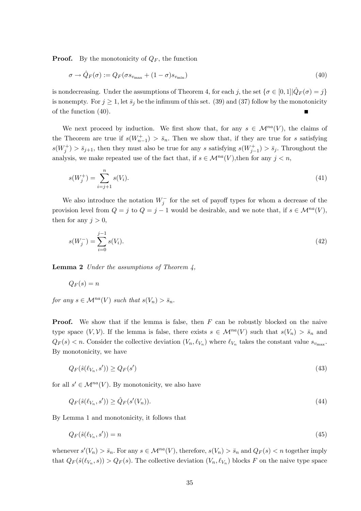**Proof.** By the monotonicity of  $Q_F$ , the function

$$
\sigma \to \hat{Q}_F(\sigma) := Q_F(\sigma s_{v_{\text{max}}} + (1 - \sigma) s_{v_{\text{min}}})
$$
\n(40)

is nondecreasing. Under the assumptions of Theorem 4, for each j, the set  $\{\sigma \in [0, 1] | \hat{Q}_F(\sigma) = j\}$ is nonempty. For  $j \geq 1$ , let  $\bar{s}_j$  be the infimum of this set. (39) and (37) follow by the monotonicity of the function (40).

We next proceed by induction. We first show that, for any  $s \in \mathcal{M}^{na}(V)$ , the claims of the Theorem are true if  $s(W_{n-1}^+) > \bar{s}_n$ . Then we show that, if they are true for s satisfying  $s(W_j^+) > \bar{s}_{j+1}$ , then they must also be true for any s satisfying  $s(W_{j-1}^+) > \bar{s}_j$ . Throughout the analysis, we make repeated use of the fact that, if  $s \in \mathcal{M}^{na}(V)$ , then for any  $j < n$ ,

$$
s(W_j^+) = \sum_{i=j+1}^n s(V_i). \tag{41}
$$

We also introduce the notation  $W_j^-$  for the set of payoff types for whom a decrease of the provision level from  $Q = j$  to  $Q = j - 1$  would be desirable, and we note that, if  $s \in \mathcal{M}^{na}(V)$ , then for any  $j > 0$ ,

$$
s(W_j^-) = \sum_{i=0}^{j-1} s(V_i). \tag{42}
$$

**Lemma 2** Under the assumptions of Theorem  $\lambda$ ,

$$
Q_F(s)=n
$$

for any  $s \in \mathcal{M}^{na}(V)$  such that  $s(V_n) > \bar{s}_n$ .

**Proof.** We show that if the lemma is false, then  $F$  can be robustly blocked on the naive type space  $(V, V)$ . If the lemma is false, there exists  $s \in \mathcal{M}^{na}(V)$  such that  $s(V_n) > \bar{s}_n$  and  $Q_F(s) < n$ . Consider the collective deviation  $(V_n, \ell_{V_n})$  where  $\ell_{V_n}$  takes the constant value  $s_{v_{\text{max}}}$ . By monotonicity, we have

$$
Q_F(\hat{s}(\ell_{V_n}, s')) \ge Q_F(s')
$$
\n<sup>(43)</sup>

for all  $s' \in \mathcal{M}^{na}(V)$ . By monotonicity, we also have

$$
Q_F(\hat{s}(\ell_{V_n}, s')) \ge \hat{Q}_F(s'(V_n)).\tag{44}
$$

By Lemma 1 and monotonicity, it follows that

$$
Q_F(\hat{s}(\ell_{V_n}, s')) = n \tag{45}
$$

whenever  $s'(V_n) > \bar{s}_n$ . For any  $s \in \mathcal{M}^{na}(V)$ , therefore,  $s(V_n) > \bar{s}_n$  and  $Q_F(s) < n$  together imply that  $Q_F(\hat{s}(\ell_{V_n}, s)) > Q_F (s)$ . The collective deviation  $(V_n, \ell_{V_n})$  blocks F on the naive type space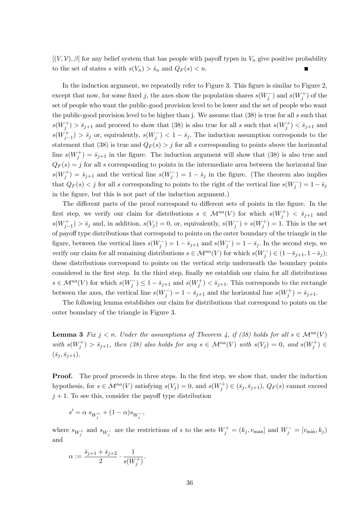$[(V, V), \beta]$  for any belief system that has people with payoff types in  $V_n$  give positive probability to the set of states s with  $s(V_n) > \bar{s}_n$  and  $Q_F(s) < n$ .

In the induction argument, we repeatedly refer to Figure 3. This figure is similar to Figure 2, except that now, for some fixed j, the axes show the population shares  $s(W_j^-)$  and  $s(W_j^+)$  of the set of people who want the public-good provision level to be lower and the set of people who want the public-good provision level to be higher than j. We assume that (38) is true for all s such that  $s(W_j^+) > \bar{s}_{j+1}$  and proceed to show that (38) is also true for all s such that  $s(W_j^+) < \bar{s}_{j+1}$  and  $s(W_{j-1}^+) > \bar{s}_j$  or, equivalently,  $s(W_j^-) < 1 - \bar{s}_j$ . The induction assumption corresponds to the statement that (38) is true and  $Q_F(s) > j$  for all s corresponding to points above the horizontal line  $s(W_j^+) = \bar{s}_{j+1}$  in the figure. The induction argument will show that (38) is also true and  $Q_F(s) = j$  for all s corresponding to points in the intermediate area between the horizontal line  $s(W_j^+) = \bar{s}_{j+1}$  and the vertical line  $s(W_j^-) = 1 - \bar{s}_j$  in the figure. (The theorem also implies that  $Q_F(s) < j$  for all s corresponding to points to the right of the vertical line  $s(W_j^-) = 1 - \bar{s}_j$ in the figure, but this is not part of the induction argument.)

The different parts of the proof correspond to different sets of points in the figure. In the first step, we verify our claim for distributions  $s \in \mathcal{M}^{na}(V)$  for which  $s(W_j^+) < s_{j+1}$  and  $s(W_{j-1}^+) > \bar{s}_j$  and, in addition,  $s(V_j) = 0$ , or, equivalently,  $s(W_j^-) + s(W_j^+) = 1$ . This is the set of payoff type distributions that correspond to points on the outer boundary of the triangle in the figure, between the vertical lines  $s(W_j^-) = 1 - \bar{s}_{j+1}$  and  $s(W_j^-) = 1 - \bar{s}_j$ . In the second step, we verify our claim for all remaining distributions  $s \in \mathcal{M}^{na}(V)$  for which  $s(W_j^-) \in (1 - \bar{s}_{j+1}, 1 - \bar{s}_j);$ these distributions correspond to points on the vertical strip underneath the boundary points considered in the first step. In the third step, finally we establish our claim for all distributions  $s \in \mathcal{M}^{na}(V)$  for which  $s(W_j^-) \leq 1 - \bar{s}_{j+1}$  and  $s(W_j^+) < \bar{s}_{j+1}$ . This corresponds to the rectangle between the axes, the vertical line  $s(W_j^-) = 1 - \bar{s}_{j+1}$  and the horizontal line  $s(W_j^+) = \bar{s}_{j+1}$ .

The following lemma establishes our claim for distributions that correspond to points on the outer boundary of the triangle in Figure 3.

**Lemma 3** Fix  $j < n$ . Under the assumptions of Theorem 4, if (38) holds for all  $s \in M^{na}(V)$ with  $s(W_j^+) > \bar{s}_{j+1}$ , then (38) also holds for any  $s \in \mathcal{M}^{na}(V)$  with  $s(V_j) = 0$ , and  $s(W_j^+) \in$  $(\bar{s}_j, \bar{s}_{j+1}).$ 

**Proof.** The proof proceeds in three steps. In the first step, we show that, under the induction hypothesis, for  $s \in \mathcal{M}^{na}(V)$  satisfying  $s(V_j) = 0$ , and  $s(W_j^+) \in (\bar{s}_j, \bar{s}_{j+1}), Q_F(s)$  cannot exceed  $j + 1$ . To see this, consider the payoff type distribution

$$
s' = \alpha \; s_{W^+_j} + (1-\alpha) s_{W^-_j},
$$

where  $s_{W_j^+}$  and  $s_{W_j^-}$  are the restrictions of s to the sets  $W_j^+ = (k_j, v_{\text{max}}]$  and  $W_j^- = [v_{\text{min}}, k_j)$ and

$$
\alpha := \frac{\bar{s}_{j+1} + \bar{s}_{j+2}}{2} \cdot \frac{1}{s(W_j^+)}.
$$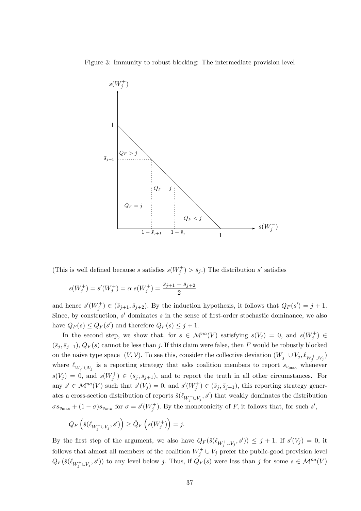Figure 3: Immunity to robust blocking: The intermediate provision level



(This is well defined because s satisfies  $s(W_j^+) > \bar{s}_j$ .) The distribution s' satisfies

$$
s(W_j^+) = s'(W_j^+) = \alpha \ s(W_j^+) = \frac{\bar{s}_{j+1} + \bar{s}_{j+2}}{2}
$$

and hence  $s'(W_j^+) \in (\bar{s}_{j+1}, \bar{s}_{j+2})$ . By the induction hypothesis, it follows that  $Q_F(s') = j + 1$ . Since, by construction,  $s'$  dominates s in the sense of first-order stochastic dominance, we also have  $Q_F(s) \leq Q_F(s')$  and therefore  $Q_F(s) \leq j+1$ .

In the second step, we show that, for  $s \in \mathcal{M}^{na}(V)$  satisfying  $s(V_j) = 0$ , and  $s(W_j^+) \in$  $(\bar{s}_j, \bar{s}_{j+1}), Q_F(s)$  cannot be less than j. If this claim were false, then F would be robustly blocked on the naive type space  $(V, V)$ . To see this, consider the collective deviation  $(W_j^+ \cup V_j, \ell_{W_j^+ \cup V_j})$ where  $\ell_{W_j^+\cup V_j}$  is a reporting strategy that asks coalition members to report  $s_{v_{\text{max}}}$  whenever  $s(V_j) = 0$ , and  $s(W_j^+) \in (\bar{s}_j, \bar{s}_{j+1})$ , and to report the truth in all other circumstances. For any  $s' \in \mathcal{M}^{na}(V)$  such that  $s'(V_j) = 0$ , and  $s'(W_j^+) \in (\bar{s}_j, \bar{s}_{j+1})$ , this reporting strategy generates a cross-section distribution of reports  $\hat{s}(\ell_{W_j^{\pm} \cup V_j}, s')$  that weakly dominates the distribution  $\sigma s_{v_{\text{max}}} + (1 - \sigma) s_{v_{\text{min}}}$  for  $\sigma = s'(W_j^+)$ . By the monotonicity of F, it follows that, for such s',

$$
Q_F\left(\hat{s}(\ell_{W_j^+\cup V_j},s')\right)\geq \hat{Q}_F\left(s(W_j^+)\right)=j.
$$

By the first step of the argument, we also have  $Q_F(\hat{s}(\ell_{W_j^+\cup V_j}, s')) \leq j + 1$ . If  $s'(V_j) = 0$ , it follows that almost all members of the coalition  $W_j^+ \cup V_j$  prefer the public-good provision level  $Q_F(\hat{s}(\ell_{W_j^+\cup V_j}, s'))$  to any level below j. Thus, if  $Q_F(s)$  were less than j for some  $s \in \mathcal{M}^{na}(V)$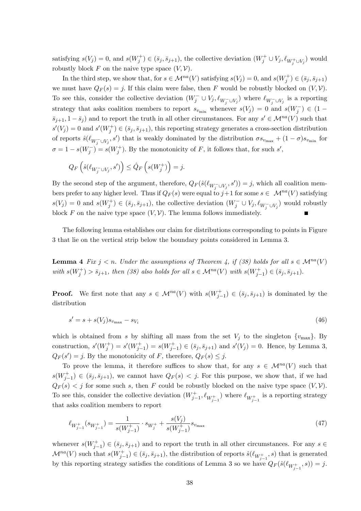satisfying  $s(V_j) = 0$ , and  $s(W_j^+) \in (\bar{s}_j, \bar{s}_{j+1})$ , the collective deviation  $(W_j^+ \cup V_j, \ell_{W_j^+ \cup V_j})$  would robustly block F on the naive type space  $(V, V)$ .

In the third step, we show that, for  $s \in \mathcal{M}^{na}(V)$  satisfying  $s(V_j) = 0$ , and  $s(W_j^+) \in (\bar{s}_j, \bar{s}_{j+1})$ we must have  $Q_F(s) = j$ . If this claim were false, then F would be robustly blocked on  $(V, V)$ . To see this, consider the collective deviation  $(W_j^- \cup V_j, \ell_{W_j^- \cup V_j})$  where  $\ell_{W_j^- \cup V_j}$  is a reporting strategy that asks coalition members to report  $s_{v_{\text{min}}}$  whenever  $s(V_j) = 0$  and  $s(W_j^-) \in (1 \bar{s}_{j+1}, 1-\bar{s}_j$  and to report the truth in all other circumstances. For any  $s' \in \mathcal{M}^{na}(V)$  such that  $s'(V_j) = 0$  and  $s'(W_j^+) \in (\bar{s}_j, \bar{s}_{j+1})$ , this reporting strategy generates a cross-section distribution of reports  $\hat{s}(\ell_{W_j^- \cup V_j}, s')$  that is weakly dominated by the distribution  $\sigma s_{v_{\text{max}}} + (1 - \sigma)s_{v_{\text{min}}}$  for  $\sigma = 1 - s(W_j^-) = s(W_j^+)$ . By the monotonicity of F, it follows that, for such s',

$$
Q_F\left(\hat{s}(\ell_{W_j^-\cup V_j},s')\right)\leq \hat{Q}_F\left(s(W_j^+)\right)=j.
$$

By the second step of the argument, therefore,  $Q_F(\hat{s}(\ell_{W_j^-\cup V_j}, s')) = j$ , which all coalition members prefer to any higher level. Thus if  $Q_F(s)$  were equal to  $j+1$  for some  $s \in \mathcal{M}^{na}(V)$  satisfying  $s(V_j) = 0$  and  $s(W_j^+) \in (\bar{s}_j, \bar{s}_{j+1})$ , the collective deviation  $(W_j^- \cup V_j, \ell_{W_j^- \cup V_j})$  would robustly block F on the naive type space  $(V, V)$ . The lemma follows immediately.

The following lemma establishes our claim for distributions corresponding to points in Figure 3 that lie on the vertical strip below the boundary points considered in Lemma 3.

**Lemma 4** Fix  $j < n$ . Under the assumptions of Theorem 4, if (38) holds for all  $s \in M^{na}(V)$ with  $s(W_j^+) > \bar{s}_{j+1}$ , then (38) also holds for all  $s \in \mathcal{M}^{na}(V)$  with  $s(W_{j-1}^+) \in (\bar{s}_j, \bar{s}_{j+1})$ .

**Proof.** We first note that any  $s \in \mathcal{M}^{na}(V)$  with  $s(W^+_{j-1}) \in (\bar{s}_j, \bar{s}_{j+1})$  is dominated by the distribution

$$
s' = s + s(V_j)s_{v_{\text{max}}} - s_{V_i} \tag{46}
$$

which is obtained from s by shifting all mass from the set  $V_j$  to the singleton  $\{v_{\text{max}}\}$ . By construction,  $s'(W_j^+) = s'(W_{j-1}^+) = s(W_{j-1}^+) \in (\bar{s}_j, \bar{s}_{j+1})$  and  $s'(V_j) = 0$ . Hence, by Lemma 3,  $Q_F(s') = j$ . By the monotonicity of F, therefore,  $Q_F(s) \leq j$ .

To prove the lemma, it therefore suffices to show that, for any  $s \in \mathcal{M}^{na}(V)$  such that  $s(W_{j-1}^+) \in (\bar{s}_j, \bar{s}_{j+1}),$  we cannot have  $Q_F(s) < j$ . For this purpose, we show that, if we had  $Q_F(s) < j$  for some such s, then F could be robustly blocked on the naive type space  $(V, V)$ . To see this, consider the collective deviation  $(W^+_{j-1}, \ell_{W^+_{j-1}})$  where  $\ell_{W^+_{j-1}}$  is a reporting strategy that asks coalition members to report

$$
\ell_{W_{j-1}^+}(s_{W_{j-1}^+}) = \frac{1}{s(W_{j-1}^+)} \cdot s_{W_j^+} + \frac{s(V_j)}{s(W_{j-1}^+)} s_{v_{\text{max}}} \tag{47}
$$

whenever  $s(W_{j-1}^+) \in (\bar{s}_j, \bar{s}_{j+1})$  and to report the truth in all other circumstances. For any  $s \in$  $\mathcal{M}^{na}(V)$  such that  $s(W_{j-1}^+) \in (\bar{s}_j, \bar{s}_{j+1})$ , the distribution of reports  $\hat{s}(\ell_{W_{j-1}^+}, s)$  that is generated by this reporting strategy satisfies the conditions of Lemma 3 so we have  $Q_F(\hat{s}(\ell_{W_{j-1}^+}, s)) = j$ .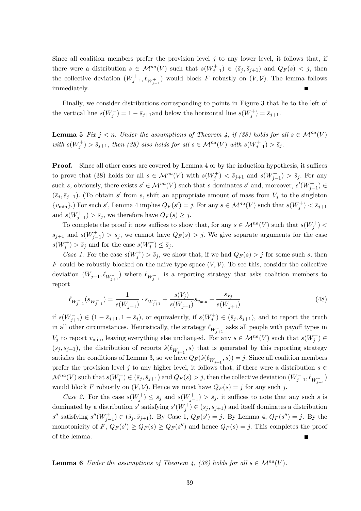Since all coalition members prefer the provision level  $j$  to any lower level, it follows that, if there were a distribution  $s \in \mathcal{M}^{na}(V)$  such that  $s(W_{j-1}^+) \in (\bar{s}_j, \bar{s}_{j+1})$  and  $Q_F(s) < j$ , then the collective deviation  $(W_{j-1}^+, \ell_{W_{j-1}^+})$  would block F robustly on  $(V, V)$ . The lemma follows immediately.

Finally, we consider distributions corresponding to points in Figure 3 that lie to the left of the vertical line  $s(W_j^-) = 1 - \bar{s}_{j+1}$  and below the horizontal line  $s(W_j^+) = \bar{s}_{j+1}$ .

**Lemma 5** Fix  $j < n$ . Under the assumptions of Theorem 4, if (38) holds for all  $s \in M^{na}(V)$ with  $s(W_j^+) > \bar{s}_{j+1}$ , then (38) also holds for all  $s \in \mathcal{M}^{na}(V)$  with  $s(W_{j-1}^+) > \bar{s}_j$ .

Proof. Since all other cases are covered by Lemma 4 or by the induction hypothesis, it suffices to prove that (38) holds for all  $s \in \mathcal{M}^{na}(V)$  with  $s(W_j^+) < \bar{s}_{j+1}$  and  $s(W_{j-1}^+) > \bar{s}_j$ . For any such s, obviously, there exists  $s' \in \mathcal{M}^{na}(V)$  such that s dominates s' and, moreover,  $s'(W_{j-1}^+) \in$  $(\bar{s}_j, \bar{s}_{j+1})$ . (To obtain s' from s, shift an appropriate amount of mass from  $V_j$  to the singleton  $\{v_{\min}\}\)$  For such s', Lemma 4 implies  $Q_F(s') = j$ . For any  $s \in \mathcal{M}^{na}(V)$  such that  $s(W_j^+) < \bar{s}_{j+1}$ and  $s(W_{j-1}^+) > \bar{s}_j$ , we therefore have  $Q_F(s) \geq j$ .

To complete the proof it now suffices to show that, for any  $s \in \mathcal{M}^{na}(V)$  such that  $s(W_j^+)$  $\bar{s}_{j+1}$  and  $s(W_{j-1}^+) > \bar{s}_j$ , we cannot have  $Q_F(s) > j$ . We give separate arguments for the case  $s(W_j^+) > \bar{s}_j$  and for the case  $s(W_j^+) \leq \bar{s}_j$ .

Case 1. For the case  $s(W_j^+) > \bar{s}_j$ , we show that, if we had  $Q_F(s) > j$  for some such s, then F could be robustly blocked on the naive type space  $(V, V)$ . To see this, consider the collective deviation  $(W_{j+1}^-, \ell_{W_{j+1}^-})$  where  $\ell_{W_{j+1}^-}$  is a reporting strategy that asks coalition members to report

$$
\ell_{W_{j+1}^{-}}(s_{W_{j+1}^{-}}) = \frac{1}{s(W_{j+1}^{-})} \cdot s_{W_{j+1}^{-}} + \frac{s(V_j)}{s(W_{j+1}^{-})} s_{v_{\min}} - \frac{s_{V_j}}{s(W_{j+1}^{-})}
$$
(48)

if  $s(W_{j+1}^-) \in (1 - \bar{s}_{j+1}, 1 - \bar{s}_j)$ , or equivalently, if  $s(W_j^+) \in (\bar{s}_j, \bar{s}_{j+1})$ , and to report the truth in all other circumstances. Heuristically, the strategy  $\ell_{W_{j+1}^-}$  asks all people with payoff types in  $V_j$  to report  $v_{\min}$ , leaving everything else unchanged. For any  $s \in \mathcal{M}^{na}(V)$  such that  $s(W_j^+) \in$  $(\bar{s}_j, \bar{s}_{j+1})$ , the distribution of reports  $\hat{s}(\ell_{W_{j+1}^-}, s)$  that is generated by this reporting strategy satisfies the conditions of Lemma 3, so we have  $Q_F(\hat{s}(\ell_{W_{j+1}^-}, s)) = j$ . Since all coalition members prefer the provision level j to any higher level, it follows that, if there were a distribution  $s \in$  $\mathcal{M}^{na}(V)$  such that  $s(W_j^+) \in (\bar{s}_j, \bar{s}_{j+1})$  and  $Q_F(s) > j$ , then the collective deviation  $(W_{j+1}^-, \ell_{W_{j+1}^-})$ would block F robustly on  $(V, V)$ . Hence we must have  $Q_F(s) = j$  for any such j.

Case 2. For the case  $s(W_j^+) \leq \bar{s}_j$  and  $s(W_{j-1}^+) > \bar{s}_j$ , it suffices to note that any such s is dominated by a distribution s' satisfying  $s'(W_j^+) \in (\bar{s}_j, \bar{s}_{j+1})$  and itself dominates a distribution s'' satisfying  $s''(W_{j-1}^+) \in (\bar{s}_j, \bar{s}_{j+1})$ . By Case 1,  $Q_F(s') = j$ . By Lemma 4,  $Q_F(s'') = j$ . By the monotonicity of  $F, Q_F(s') \geq Q_F(s) \geq Q_F(s'')$  and hence  $Q_F(s) = j$ . This completes the proof of the lemma.

**Lemma 6** Under the assumptions of Theorem 4, (38) holds for all  $s \in \mathcal{M}^{na}(V)$ .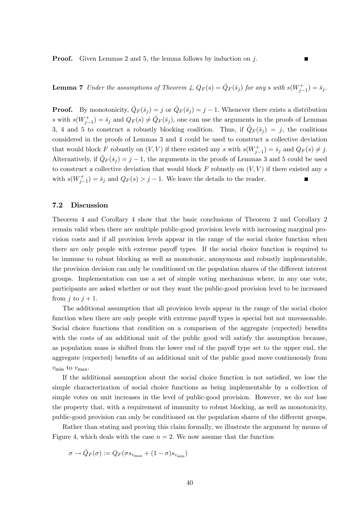**Proof.** Given Lemmas 2 and 5, the lemma follows by induction on  $i$ .

**Lemma 7** Under the assumptions of Theorem 4,  $Q_F(s) = \hat{Q}_F(\bar{s}_j)$  for any s with  $s(W_{j-1}^+) = \bar{s}_j$ .

**Proof.** By monotonicity,  $\hat{Q}_F(\bar{s}_j) = j$  or  $\hat{Q}_F(\bar{s}_j) = j - 1$ . Whenever there exists a distribution s with  $s(W_{j-1}^+) = \bar{s}_j$  and  $Q_F(s) \neq \hat{Q}_F(\bar{s}_j)$ , one can use the arguments in the proofs of Lemmas 3, 4 and 5 to construct a robustly blocking coalition. Thus, if  $\hat{Q}_F(\bar{s}_j) = j$ , the coalitions considered in the proofs of Lemmas 3 and 4 could be used to construct a collective deviation that would block F robustly on  $(V, V)$  if there existed any s with  $s(W_{j-1}^+) = \bar{s}_j$  and  $Q_F(s) \neq j$ . Alternatively, if  $\hat{Q}_F(\bar{s}_j) = j - 1$ , the arguments in the proofs of Lemmas 3 and 5 could be used to construct a collective deviation that would block  $F$  robustly on  $(V, V)$  if there existed any s with  $s(W_{j-1}^+) = \bar{s}_j$  and  $Q_F(s) > j - 1$ . We leave the details to the reader.

#### 7.2 Discussion

Theorem 4 and Corollary 4 show that the basic conclusions of Theorem 2 and Corollary 2 remain valid when there are multiple public-good provision levels with increasing marginal provision costs and if all provision levels appear in the range of the social choice function when there are only people with extreme payoff types. If the social choice function is required to be immune to robust blocking as well as monotonic, anonymous and robustly implementable, the provision decision can only be conditioned on the population shares of the different interest groups. Implementation can use a set of simple voting mechanisms where, in any one vote, participants are asked whether or not they want the public-good provision level to be increased from j to  $j + 1$ .

The additional assumption that all provision levels appear in the range of the social choice function when there are only people with extreme payoff types is special but not unreasonable. Social choice functions that condition on a comparison of the aggregate (expected) benefits with the costs of an additional unit of the public good will satisfy the assumption because, as population mass is shifted from the lower end of the payoff type set to the upper end, the aggregate (expected) benefits of an additional unit of the public good move continuously from  $v_{\text{min}}$  to  $v_{\text{max}}$ .

If the additional assumption about the social choice function is not satisfied, we lose the simple characterization of social choice functions as being implementable by a collection of simple votes on unit increases in the level of public-good provision. However, we do not lose the property that, with a requirement of immunity to robust blocking, as well as monotonicity, public-good provision can only be conditioned on the population shares of the different groups.

Rather than stating and proving this claim formally, we illustrate the argument by means of Figure 4, which deals with the case  $n = 2$ . We now assume that the function

$$
\sigma \rightarrow \hat{Q}_F(\sigma) := Q_F(\sigma s_{v_{\max}} + (1-\sigma) s_{v_{\min}})
$$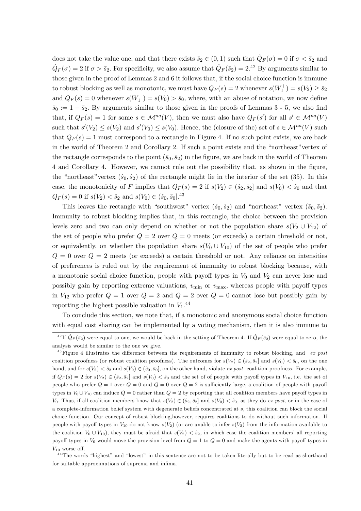does not take the value one, and that there exists  $\bar{s}_2 \in (0,1)$  such that  $\hat{Q}_F (\sigma) = 0$  if  $\sigma < \bar{s}_2$  and  $\hat{Q}_F(\sigma) = 2$  if  $\sigma > \bar{s}_2$ . For specificity, we also assume that  $\hat{Q}_F(\bar{s}_2) = 2^{12}$  By arguments similar to those given in the proof of Lemmas 2 and 6 it follows that, if the social choice function is immune to robust blocking as well as monotonic, we must have  $Q_F(s) = 2$  whenever  $s(W_1^+) = s(V_2) \ge \bar{s}_2$ and  $Q_F(s) = 0$  whenever  $s(W_1^-) = s(V_0) > \bar{s}_0$ , where, with an abuse of notation, we now define  $\bar{s}_0 := 1 - \bar{s}_2$ . By arguments similar to those given in the proofs of Lemmas 3 - 5, we also find that, if  $Q_F(s) = 1$  for some  $s \in \mathcal{M}^{na}(V)$ , then we must also have  $Q_F(s')$  for all  $s' \in \mathcal{M}^{na}(V)$ such that  $s'(V_2) \leq s(V_2)$  and  $s'(V_0) \leq s(V_0)$ . Hence, the (closure of the) set of  $s \in \mathcal{M}^{na}(V)$  such that  $Q_F(s) = 1$  must correspond to a rectangle in Figure 4. If no such point exists, we are back in the world of Theorem 2 and Corollary 2. If such a point exists and the "northeast" vertex of the rectangle corresponds to the point  $(\bar{s}_0, \bar{s}_2)$  in the figure, we are back in the world of Theorem 4 and Corollary 4. However, we cannot rule out the possibility that, as shown in the Ögure, the "northeast" vertex  $(\hat{s}_0, \hat{s}_2)$  of the rectangle might lie in the interior of the set (35). In this case, the monotonicity of F implies that  $Q_F(s) = 2$  if  $s(V_2) \in (\hat{s}_2, \bar{s}_2]$  and  $s(V_0) < \hat{s}_0$  and that  $Q_F(s) = 0$  if  $s(V_2) < \hat{s}_2$  and  $s(V_0) \in (\hat{s}_0, \bar{s}_0]$ .<sup>43</sup>

This leaves the rectangle with "southwest" vertex  $(\hat{s}_0, \hat{s}_2)$  and "northeast" vertex  $(\bar{s}_0, \bar{s}_2)$ . Immunity to robust blocking implies that, in this rectangle, the choice between the provision levels zero and two can only depend on whether or not the population share  $s(V_2 \cup V_{12})$  of the set of people who prefer  $Q = 2$  over  $Q = 0$  meets (or exceeds) a certain threshold or not, or equivalently, on whether the population share  $s(V_0 \cup V_{10})$  of the set of people who prefer  $Q = 0$  over  $Q = 2$  meets (or exceeds) a certain threshold or not. Any reliance on intensities of preferences is ruled out by the requirement of immunity to robust blocking because, with a monotonic social choice function, people with payoff types in  $V_0$  and  $V_2$  can never lose and possibly gain by reporting extreme valuations,  $v_{\text{min}}$  or  $v_{\text{max}}$ , whereas people with payoff types in  $V_{12}$  who prefer  $Q = 1$  over  $Q = 2$  and  $Q = 2$  over  $Q = 0$  cannot lose but possibly gain by reporting the highest possible valuation in  $V_1$ .<sup>44</sup>

To conclude this section, we note that, if a monotonic and anonymous social choice function with equal cost sharing can be implemented by a voting mechanism, then it is also immune to

<sup>&</sup>lt;sup>42</sup> If  $\hat{Q}_F (\bar{s}_2)$  were equal to one, we would be back in the setting of Theorem 4. If  $\hat{Q}_F (\bar{s}_2)$  were equal to zero, the analysis would be similar to the one we give.

<sup>&</sup>lt;sup>43</sup>Figure 4 illustrates the difference between the requirements of immunity to robust blocking, and ex post coalition proofness (or robust coalition proofness). The outcomes for  $s(V_2) \in (\hat{s}_2, \bar{s}_2]$  and  $s(V_0) < \hat{s}_0$ , on the one hand, and for  $s(V_2) < \hat{s}_2$  and  $s(V_0) \in (\hat{s}_0, \bar{s}_0]$ , on the other hand, violate ex post coalition-proofness. For example, if  $Q_F(s) = 2$  for  $s(V_2) \in (\hat{s}_2, \bar{s}_2]$  and  $s(V_0) < \hat{s}_0$  and the set of of people with payoff types in  $V_{10}$ , i.e. the set of people who prefer  $Q = 1$  over  $Q = 0$  and  $Q = 0$  over  $Q = 2$  is sufficiently large, a coalition of people with payoff types in  $V_0 \cup V_{10}$  can induce  $Q = 0$  rather than  $Q = 2$  by reporting that all coalition members have payoff types in V<sub>0</sub>. Thus, if all coalition members know that  $s(V_2) \in (\hat{s}_2, \overline{s}_2]$  and  $s(V_0) < \hat{s}_0$ , as they do ex post, or in the case of a complete-information belief system with degenerate beliefs concentrated at s; this coalition can block the social choice function. Our concept of robust blocking,however, requires coalitions to do without such information. If people with payoff types in  $V_{10}$  do not know  $s(V_2)$  (or are unable to infer  $s(V_2)$ ) from the information available to the coalition  $V_0 \cup V_{10}$ , they must be afraid that  $s(V_2) < \hat{s}_2$ , in which case the coalition members' all reporting payoff types in  $V_0$  would move the provision level from  $Q = 1$  to  $Q = 0$  and make the agents with payoff types in  $V_{10}$  worse off.

 $44$ The words "highest" and "lowest" in this sentence are not to be taken literally but to be read as shorthand for suitable approximations of suprema and infima.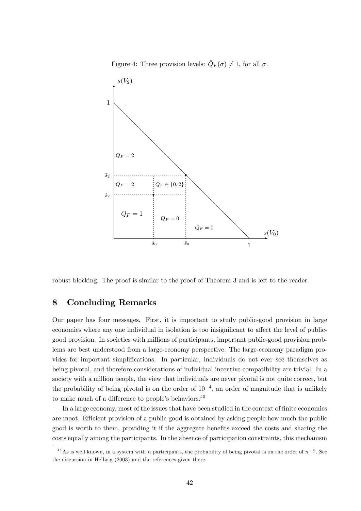Figure 4: Three provision levels:  $\hat{Q}_F(\sigma) \neq 1$ , for all  $\sigma$ .



robust blocking. The proof is similar to the proof of Theorem 3 and is left to the reader.

## 8 Concluding Remarks

Our paper has four messages. First, it is important to study public-good provision in large economies where any one individual in isolation is too insignificant to affect the level of publicgood provision. In societies with millions of participants, important public-good provision problems are best understood from a large-economy perspective. The large-economy paradigm provides for important simplifications. In particular, individuals do not ever see themselves as being pivotal, and therefore considerations of individual incentive compatibility are trivial. In a society with a million people, the view that individuals are never pivotal is not quite correct, but the probability of being pivotal is on the order of  $10^{-4}$ , an order of magnitude that is unlikely to make much of a difference to people's behaviors.<sup>45</sup>

In a large economy, most of the issues that have been studied in the context of finite economies are moot. Efficient provision of a public good is obtained by asking people how much the public good is worth to them, providing it if the aggregate benefits exceed the costs and sharing the costs equally among the participants. In the absence of participation constraints, this mechanism

<sup>&</sup>lt;sup>45</sup> As is well known, in a system with *n* participants, the probability of being pivotal is on the order of  $n^{-\frac{1}{2}}$ . See the discussion in Hellwig (2003) and the references given there.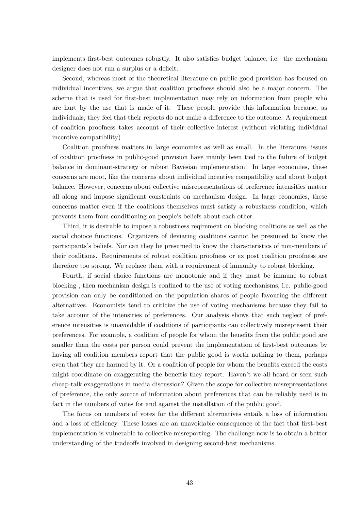implements first-best outcomes robustly. It also satisfies budget balance, i.e. the mechanism designer does not run a surplus or a deficit.

Second, whereas most of the theoretical literature on public-good provision has focused on individual incentives, we argue that coalition proofness should also be a major concern. The scheme that is used for first-best implementation may rely on information from people who are hurt by the use that is made of it. These people provide this information because, as individuals, they feel that their reports do not make a difference to the outcome. A requirement of coalition proofness takes account of their collective interest (without violating individual incentive compatibility).

Coalition proofness matters in large economies as well as small. In the literature, issues of coalition proofness in public-good provision have mainly been tied to the failure of budget balance in dominant-strategy or robust Bayesian implementation. In large economies, these concerns are moot, like the concerns about individual incentive compatibility and about budget balance. However, concerns about collective misrepresentations of preference intensities matter all along and impose significant constraints on mechanism design. In large economies, these concerns matter even if the coalitions themselves must satisfy a robustness condition, which prevents them from conditioning on people's beliefs about each other.

Third, it is desirable to impose a robustness reqirement on blocking coalitions as well as the social choioce functions. Organizers of deviating coalitions cannot be presumed to know the participantsís beliefs. Nor can they be presumed to know the characteristics of non-members of their coalitions. Requirements of robust coalition proofness or ex post coalition proofness are therefore too strong. We replace them with a requirement of immunity to robust blocking.

Fourth, if social choice functions are monotonic and if they must be immune to robust blocking, then mechanism design is confined to the use of voting mechanisms, i.e. public-good provision can only be conditioned on the population shares of people favouring the different alternatives. Economists tend to criticize the use of voting mechanisms because they fail to take account of the intensities of preferences. Our analysis shows that such neglect of preference intensities is unavoidable if coalitions of participants can collectively misrepresent their preferences. For example, a coalition of people for whom the benefits from the public good are smaller than the costs per person could prevent the implementation of first-best outcomes by having all coalition members report that the public good is worth nothing to them, perhaps even that they are harmed by it. Or a coalition of people for whom the benefits exceed the costs might coordinate on exaggerating the beneftis they report. Haven't we all heard or seen such cheap-talk exaggerations in media discussion? Given the scope for collective misrepresentations of preference, the only source of information about preferences that can be reliably used is in fact in the numbers of votes for and against the installation of the public good.

The focus on numbers of votes for the different alternatives entails a loss of information and a loss of efficiency. These losses are an unavoidable consequence of the fact that first-best implementation is vulnerable to collective misreporting. The challenge now is to obtain a better understanding of the tradeoffs involved in designing second-best mechanisms.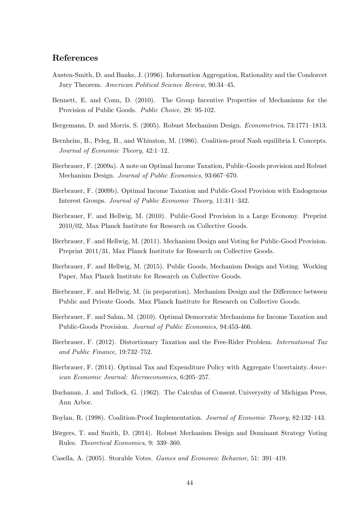### References

- Austen-Smith, D. and Banks, J. (1996). Information Aggregation, Rationality and the Condorcet Jury Theorem. American Political Science Review, 90:34-45.
- Bennett, E. and Conn, D. (2010). The Group Incentive Properties of Mechanisms for the Provision of Public Goods. Public Choice, 29: 95-102.
- Bergemann, D. and Morris, S. (2005). Robust Mechanism Design. *Econometrica*, 73:1771–1813.
- Bernheim, B., Peleg, B., and Whinston, M. (1986). Coalition-proof Nash equilibria I. Concepts. Journal of Economic Theory,  $42:1-12$ .
- Bierbrauer, F. (2009a). A note on Optimal Income Taxation, Public-Goods provision and Robust Mechanism Design. Journal of Public Economics, 93:667-670.
- Bierbrauer, F. (2009b). Optimal Income Taxation and Public-Good Provision with Endogenous Interest Groups. Journal of Public Economic Theory, 11:311-342.
- Bierbrauer, F. and Hellwig, M. (2010). Public-Good Provision in a Large Economy. Preprint 2010/02, Max Planck Institute for Research on Collective Goods.
- Bierbrauer, F. and Hellwig, M. (2011). Mechanism Design and Voting for Public-Good Provision. Preprint 2011/31, Max Planck Institute for Research on Collective Goods.
- Bierbrauer, F. and Hellwig, M. (2015). Public Goods, Mechanism Design and Voting. Working Paper, Max Planck Institute for Research on Collective Goods.
- Bierbrauer, F. and Hellwig, M. (in preparation). Mechanism Design and the Difference between Public and Private Goods. Max Planck Institute for Research on Collective Goods.
- Bierbrauer, F. and Sahm, M. (2010). Optimal Democratic Mechanisms for Income Taxation and Public-Goods Provision. Journal of Public Economics, 94:453-466.
- Bierbrauer, F. (2012). Distortionary Taxation and the Free-Rider Problem. International Tax and Public Finance,  $19:732-752$ .
- Bierbrauer, F. (2014). Optimal Tax and Expenditure Policy with Aggregate Uncertainty. American Economic Journal: Microeconomics, 6:205-257.
- Buchanan, J. and Tullock, G. (1962). The Calculus of Consent. Univerysity of Michigan Press, Ann Arbor.
- Boylan, R. (1998). Coalition-Proof Implementation. Journal of Economic Theory, 82:132–143.
- Börgers, T. and Smith, D. (2014). Robust Mechanism Design and Dominant Strategy Voting Rules. Theoretical Economics, 9: 339-360.
- Casella, A. (2005). Storable Votes. Games and Economic Behavior, 51: 391–419.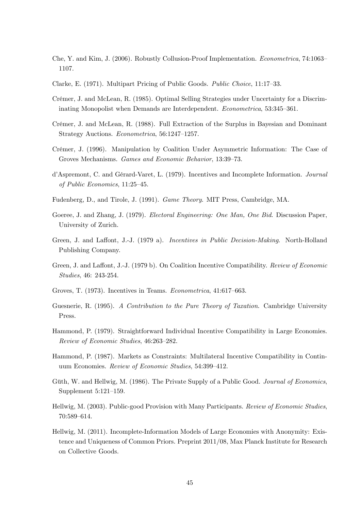- Che, Y. and Kim, J. (2006). Robustly Collusion-Proof Implementation. *Econometrica*, 74:1063– 1107.
- Clarke, E. (1971). Multipart Pricing of Public Goods. Public Choice, 11:17-33.
- Crémer, J. and McLean, R. (1985). Optimal Selling Strategies under Uncertainty for a Discriminating Monopolist when Demands are Interdependent. Econometrica, 53:345-361.
- Crémer, J. and McLean, R. (1988). Full Extraction of the Surplus in Bayesian and Dominant Strategy Auctions. Econometrica, 56:1247-1257.
- Crémer, J. (1996). Manipulation by Coalition Under Asymmetric Information: The Case of Groves Mechanisms. Games and Economic Behavior, 13:39–73.
- d'Aspremont, C. and Gérard-Varet, L. (1979). Incentives and Incomplete Information. Journal of Public Economics,  $11:25-45$ .
- Fudenberg, D., and Tirole, J. (1991). Game Theory. MIT Press, Cambridge, MA.
- Goeree, J. and Zhang, J. (1979). *Electoral Engineering: One Man, One Bid.* Discussion Paper, University of Zurich.
- Green, J. and Laffont, J.-J. (1979 a). *Incentives in Public Decision-Making*. North-Holland Publishing Company.
- Green, J. and Laffont, J.-J. (1979 b). On Coalition Incentive Compatibility. Review of Economic Studies, 46: 243-254.
- Groves, T.  $(1973)$ . Incentives in Teams. Econometrica,  $41:617-663$ .
- Guesnerie, R. (1995). A Contribution to the Pure Theory of Taxation. Cambridge University Press.
- Hammond, P. (1979). Straightforward Individual Incentive Compatibility in Large Economies. Review of Economic Studies, 46:263-282.
- Hammond, P. (1987). Markets as Constraints: Multilateral Incentive Compatibility in Continuum Economies. Review of Economic Studies, 54:399-412.
- Güth, W. and Hellwig, M. (1986). The Private Supply of a Public Good. Journal of Economics, Supplement  $5:121-159$ .
- Hellwig, M. (2003). Public-good Provision with Many Participants. Review of Economic Studies, 70:589-614.
- Hellwig, M. (2011). Incomplete-Information Models of Large Economies with Anonymity: Existence and Uniqueness of Common Priors. Preprint 2011/08, Max Planck Institute for Research on Collective Goods.